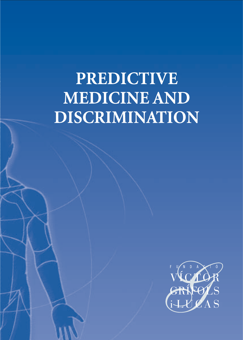# **PREDICTIVE MEDICINE AND DISCRIMINATION**

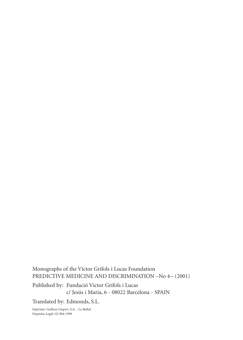Monographs of the Víctor Grífols i Lucas Foundation PREDICTIVE MEDICINE AND DISCRIMINATION –No 4– (2001)

Published by: Fundació Víctor Grífols i Lucas c/ Jesús i Maria, 6 - 08022 Barcelona - SPAIN

Translated by: Edmonds, S.L.

Imprime: Gráficas Gispert, S.A. - La Bisbal Depósito Legal: GI-904-1999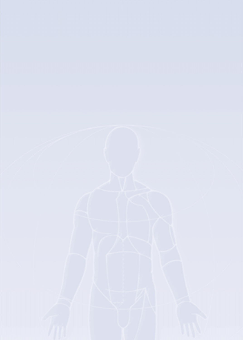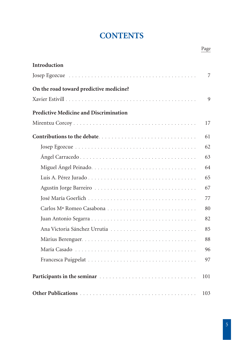## **CONTENTS**

| Introduction                                  |     |
|-----------------------------------------------|-----|
|                                               | 7   |
| On the road toward predictive medicine?       |     |
|                                               | 9   |
| <b>Predictive Medicine and Discrimination</b> |     |
|                                               | 17  |
| Contributions to the debate                   | 61  |
|                                               | 62  |
|                                               | 63  |
|                                               | 64  |
|                                               | 65  |
|                                               | 67  |
|                                               | 77  |
|                                               | 80  |
|                                               | 82  |
|                                               | 85  |
|                                               | 88  |
|                                               | 96  |
|                                               | 97  |
|                                               | 101 |
|                                               | 103 |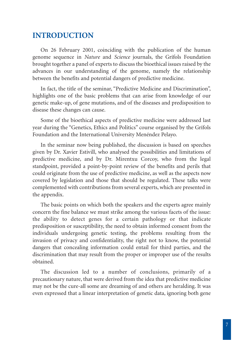## **INTRODUCTION**

On 26 February 2001, coinciding with the publication of the human genome sequence in *Nature* and *Science* journals, the Grífols Foundation brought together a panel of experts to discuss the bioethical issues raised by the advances in our understanding of the genome, namely the relationship between the benefits and potential dangers of predictive medicine.

In fact, the title of the seminar, "Predictive Medicine and Discrimination", highlights one of the basic problems that can arise from knowledge of our genetic make-up, of gene mutations, and of the diseases and predisposition to disease these changes can cause.

Some of the bioethical aspects of predictive medicine were addressed last year during the "Genetics, Ethics and Politics" course organised by the Grífols Foundation and the International University Menéndez Pelayo.

In the seminar now being published, the discussion is based on speeches given by Dr. Xavier Estivill, who analysed the possibilities and limitations of predictive medicine, and by Dr. Mirentxu Corcoy, who from the legal standpoint, provided a point-by-point review of the benefits and perils that could originate from the use of predictive medicine, as well as the aspects now covered by legislation and those that should be regulated. These talks were complemented with contributions from several experts, which are presented in the appendix.

The basic points on which both the speakers and the experts agree mainly concern the fine balance we must strike among the various facets of the issue: the ability to detect genes for a certain pathology or that indicate predisposition or susceptibility, the need to obtain informed consent from the individuals undergoing genetic testing, the problems resulting from the invasion of privacy and confidentiality, the right not to know, the potential dangers that concealing information could entail for third parties, and the discrimination that may result from the proper or improper use of the results obtained.

The discussion led to a number of conclusions, primarily of a precautionary nature, that were derived from the idea that predictive medicine may not be the cure-all some are dreaming of and others are heralding. It was even expressed that a linear interpretation of genetic data, ignoring both gene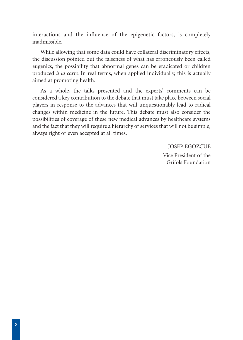interactions and the influence of the epigenetic factors, is completely inadmissible.

While allowing that some data could have collateral discriminatory effects, the discussion pointed out the falseness of what has erroneously been called eugenics, the possibility that abnormal genes can be eradicated or children produced *à la carte.* In real terms, when applied individually, this is actually aimed at promoting health.

As a whole, the talks presented and the experts' comments can be considered a key contribution to the debate that must take place between social players in response to the advances that will unquestionably lead to radical changes within medicine in the future. This debate must also consider the possibilities of coverage of these new medical advances by healthcare systems and the fact that they will require a hierarchy of services that will not be simple, always right or even accepted at all times.

> JOSEP EGOZCUE Vice President of the Grífols Foundation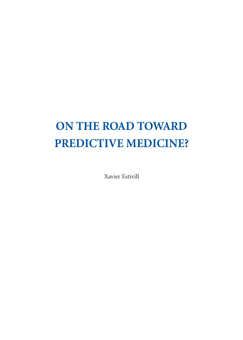## **ON THE ROAD TOWARD PREDICTIVE MEDICINE?**

Xavier Estivill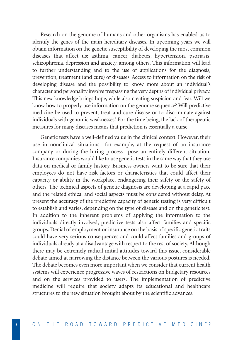Research on the genome of humans and other organisms has enabled us to identify the genes of the main hereditary diseases. In upcoming years we will obtain information on the genetic susceptibility of developing the most common diseases that affect us: asthma, cancer, diabetes, hypertension, psoriasis, schizophrenia, depression and anxiety, among others. This information will lead to further understanding and to the use of applications for the diagnosis, prevention, treatment (and cure) of diseases. Access to information on the risk of developing disease and the possibility to know more about an individual's character and personality involve trespassing the very depths of individual privacy. This new knowledge brings hope, while also creating suspicion and fear. Will we know how to properly use information on the genome sequence? Will predictive medicine be used to prevent, treat and cure disease or to discriminate against individuals with genomic weaknesses? For the time being, the lack of therapeutic measures for many diseases means that prediction is essentially a curse.

Genetic tests have a well-defined value in the clinical context. However, their use in nonclinical situations –for example, at the request of an insurance company or during the hiring process– pose an entirely different situation. Insurance companies would like to use genetic tests in the same way that they use data on medical or family history. Business owners want to be sure that their employees do not have risk factors or characteristics that could affect their capacity or ability in the workplace, endangering their safety or the safety of others. The technical aspects of genetic diagnosis are developing at a rapid pace and the related ethical and social aspects must be considered without delay. At present the accuracy of the predictive capacity of genetic testing is very difficult to establish and varies, depending on the type of disease and on the genetic test. In addition to the inherent problems of applying the information to the individuals directly involved, predictive tests also affect families and specific groups. Denial of employment or insurance on the basis of specific genetic traits could have very serious consequences and could affect families and groups of individuals already at a disadvantage with respect to the rest of society. Although there may be extremely radical initial attitudes toward this issue, considerable debate aimed at narrowing the distance between the various postures is needed. The debate becomes even more important when we consider that current health systems will experience progressive waves of restrictions on budgetary resources and on the services provided to users. The implementation of predictive medicine will require that society adapts its educational and healthcare structures to the new situation brought about by the scientific advances.

10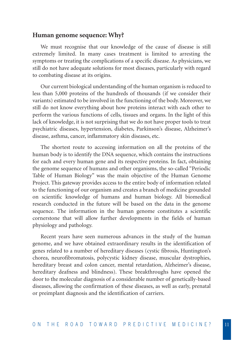#### **Human genome sequence: Why?**

We must recognise that our knowledge of the cause of disease is still extremely limited. In many cases treatment is limited to arresting the symptoms or treating the complications of a specific disease. As physicians, we still do not have adequate solutions for most diseases, particularly with regard to combating disease at its origins.

Our current biological understanding of the human organism is reduced to less than 5,000 proteins of the hundreds of thousands (if we consider their variants) estimated to be involved in the functioning of the body. Moreover, we still do not know everything about how proteins interact with each other to perform the various functions of cells, tissues and organs. In the light of this lack of knowledge, it is not surprising that we do not have proper tools to treat psychiatric diseases, hypertension, diabetes, Parkinson's disease, Alzheimer's disease, asthma, cancer, inflammatory skin diseases, etc.

The shortest route to accessing information on all the proteins of the human body is to identify the DNA sequence, which contains the instructions for each and every human gene and its respective proteins. In fact, obtaining the genome sequence of humans and other organisms, the so-called "Periodic Table of Human Biology" was the main objective of the Human Genome Project. This gateway provides access to the entire body of information related to the functioning of our organism and creates a branch of medicine grounded on scientific knowledge of humans and human biology. All biomedical research conducted in the future will be based on the data in the genome sequence. The information in the human genome constitutes a scientific cornerstone that will allow further developments in the fields of human physiology and pathology.

Recent years have seen numerous advances in the study of the human genome, and we have obtained extraordinary results in the identification of genes related to a number of hereditary diseases (cystic fibrosis, Huntington's chorea, neurofibromatosis, polycystic kidney disease, muscular dystrophies, hereditary breast and colon cancer, mental retardation, Alzheimer's disease, hereditary deafness and blindness). These breakthroughs have opened the door to the molecular diagnosis of a considerable number of genetically-based diseases, allowing the confirmation of these diseases, as well as early, prenatal or preimplant diagnosis and the identification of carriers.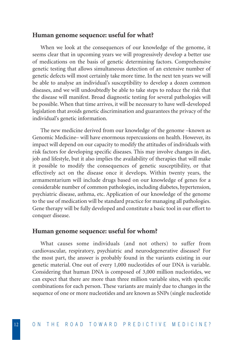#### **Human genome sequence: useful for what?**

When we look at the consequences of our knowledge of the genome, it seems clear that in upcoming years we will progressively develop a better use of medications on the basis of genetic determining factors. Comprehensive genetic testing that allows simultaneous detection of an extensive number of genetic defects will most certainly take more time. In the next ten years we will be able to analyse an individual's susceptibility to develop a dozen common diseases, and we will undoubtedly be able to take steps to reduce the risk that the disease will manifest. Broad diagnostic testing for several pathologies will be possible. When that time arrives, it will be necessary to have well-developed legislation that avoids genetic discrimination and guarantees the privacy of the individual's genetic information.

The new medicine derived from our knowledge of the genome –known as Genomic Medicine– will have enormous repercussions on health. However, its impact will depend on our capacity to modify the attitudes of individuals with risk factors for developing specific diseases. This may involve changes in diet, job and lifestyle, but it also implies the availability of therapies that will make it possible to modify the consequences of genetic susceptibility, or that effectively act on the disease once it develops. Within twenty years, the armamentarium will include drugs based on our knowledge of genes for a considerable number of common pathologies, including diabetes, hypertension, psychiatric disease, asthma, etc. Application of our knowledge of the genome to the use of medication will be standard practice for managing all pathologies. Gene therapy will be fully developed and constitute a basic tool in our effort to conquer disease.

### **Human genome sequence: useful for whom?**

What causes some individuals (and not others) to suffer from cardiovascular, respiratory, psychiatric and neurodegenerative diseases? For the most part, the answer is probably found in the variants existing in our genetic material. One out of every 1,000 nucleotides of our DNA is variable. Considering that human DNA is composed of 3,000 million nucleotides, we can expect that there are more than three million variable sites, with specific combinations for each person. These variants are mainly due to changes in the sequence of one or more nucleotides and are known as SNPs (single nucleotide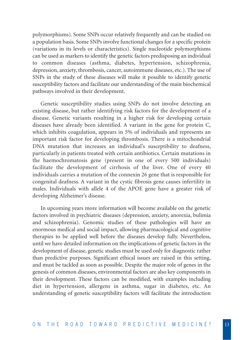polymorphisms). Some SNPs occur relatively frequently and can be studied on a population basis. Some SNPs involve functional changes for a specific protein (variations in its levels or characteristics). Single nucleotide polymorphisms can be used as markers to identify the genetic factors predisposing an individual to common diseases (asthma, diabetes, hypertension, schizophrenia, depression, anxiety, thrombosis, cancer, autoimmune diseases, etc.). The use of SNPs in the study of these diseases will make it possible to identify genetic susceptibility factors and facilitate our understanding of the main biochemical pathways involved in their development.

Genetic susceptibility studies using SNPs do not involve detecting an existing disease, but rather identifying risk factors for the development of a disease. Genetic variants resulting in a higher risk for developing certain diseases have already been identified. A variant in the gene for protein C, which inhibits coagulation, appears in 5% of individuals and represents an important risk factor for developing thrombosis. There is a mitochondrial DNA mutation that increases an individual's susceptibility to deafness, particularly in patients treated with certain antibiotics. Certain mutations in the haemochromatosis gene (present in one of every 500 individuals) facilitate the development of cirrhosis of the liver. One of every 40 individuals carries a mutation of the connexin 26 gene that is responsible for congenital deafness. A variant in the cystic fibrosis gene causes infertility in males. Individuals with allele 4 of the APOE gene have a greater risk of developing Alzheimer's disease.

In upcoming years more information will become available on the genetic factors involved in psychiatric diseases (depression, anxiety, anorexia, bulimia and schizophrenia). Genomic studies of these pathologies will have an enormous medical and social impact, allowing pharmacological and cognitive therapies to be applied well before the diseases develop fully. Nevertheless, until we have detailed information on the implications of genetic factors in the development of disease, genetic studies must be used only for diagnostic rather than predictive purposes. Significant ethical issues are raised in this setting, and must be tackled as soon as possible. Despite the major role of genes in the genesis of common diseases, environmental factors are also key components in their development. These factors can be modified, with examples including diet in hypertension, allergens in asthma, sugar in diabetes, etc. An understanding of genetic susceptibility factors will facilitate the introduction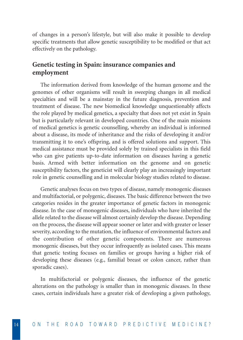of changes in a person's lifestyle, but will also make it possible to develop specific treatments that allow genetic susceptibility to be modified or that act effectively on the pathology.

## **Genetic testing in Spain: insurance companies and employment**

The information derived from knowledge of the human genome and the genomes of other organisms will result in sweeping changes in all medical specialties and will be a mainstay in the future diagnosis, prevention and treatment of disease. The new biomedical knowledge unquestionably affects the role played by medical genetics, a specialty that does not yet exist in Spain but is particularly relevant in developed countries. One of the main missions of medical genetics is genetic counselling, whereby an individual is informed about a disease, its mode of inheritance and the risks of developing it and/or transmitting it to one's offspring, and is offered solutions and support. This medical assistance must be provided solely by trained specialists in this field who can give patients up-to-date information on diseases having a genetic basis. Armed with better information on the genome and on genetic susceptibility factors, the geneticist will clearly play an increasingly important role in genetic counselling and in molecular biology studies related to disease.

Genetic analyses focus on two types of disease, namely monogenic diseases and multifactorial, or polygenic, diseases. The basic difference between the two categories resides in the greater importance of genetic factors in monogenic disease. In the case of monogenic diseases, individuals who have inherited the allele related to the disease will almost certainly develop the disease. Depending on the process, the disease will appear sooner or later and with greater or lesser severity, according to the mutation, the influence of environmental factors and the contribution of other genetic components. There are numerous monogenic diseases, but they occur infrequently as isolated cases. This means that genetic testing focuses on families or groups having a higher risk of developing these diseases (e.g., familial breast or colon cancer, rather than sporadic cases).

In multifactorial or polygenic diseases, the influence of the genetic alterations on the pathology is smaller than in monogenic diseases. In these cases, certain individuals have a greater risk of developing a given pathology,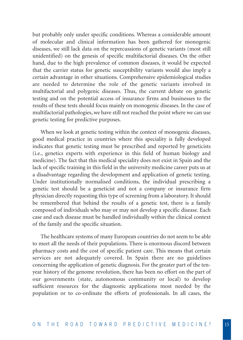but probably only under specific conditions. Whereas a considerable amount of molecular and clinical information has been gathered for monogenic diseases, we still lack data on the repercussions of genetic variants (most still unidentified) on the genesis of specific multifactorial diseases. On the other hand, due to the high prevalence of common diseases, it would be expected that the carrier status for genetic susceptibility variants would also imply a certain advantage in other situations. Comprehensive epidemiological studies are needed to determine the role of the genetic variants involved in multifactorial and polygenic diseases. Thus, the current debate on genetic testing and on the potential access of insurance firms and businesses to the results of these tests should focus mainly on monogenic diseases. In the case of multifactorial pathologies, we have still not reached the point where we can use genetic testing for predictive purposes.

When we look at genetic testing within the context of monogenic diseases, good medical practice in countries where this speciality is fully developed indicates that genetic testing must be prescribed and reported by geneticists (i.e., genetics experts with experience in this field of human biology and medicine). The fact that this medical speciality does not exist in Spain and the lack of specific training in this field in the university medicine career puts us at a disadvantage regarding the development and application of genetic testing. Under institutionally normalised conditions, the individual prescribing a genetic test should be a geneticist and not a company or insurance firm physician directly requesting this type of screening from a laboratory. It should be remembered that behind the results of a genetic test, there is a family composed of individuals who may or may not develop a specific disease. Each case and each disease must be handled individually within the clinical context of the family and the specific situation.

The healthcare systems of many European countries do not seem to be able to meet all the needs of their populations. There is enormous discord between pharmacy costs and the cost of specific patient care. This means that certain services are not adequately covered. In Spain there are no guidelines concerning the application of genetic diagnosis. For the greater part of the tenyear history of the genome revolution, there has been no effort on the part of our governments (state, autonomous community or local) to develop sufficient resources for the diagnostic applications most needed by the population or to co-ordinate the efforts of professionals. In all cases, the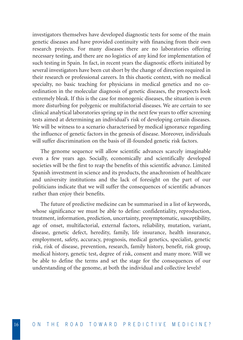investigators themselves have developed diagnostic tests for some of the main genetic diseases and have provided continuity with financing from their own research projects. For many diseases there are no laboratories offering necessary testing, and there are no logistics of any kind for implementation of such testing in Spain. In fact, in recent years the diagnostic efforts initiated by several investigators have been cut short by the change of direction required in their research or professional careers. In this chaotic context, with no medical specialty, no basic teaching for physicians in medical genetics and no coordination in the molecular diagnosis of genetic diseases, the prospects look extremely bleak. If this is the case for monogenic diseases, the situation is even more disturbing for polygenic or multifactorial diseases. We are certain to see clinical analytical laboratories spring up in the next few years to offer screening tests aimed at determining an individual's risk of developing certain diseases. We will be witness to a scenario characterised by medical ignorance regarding the influence of genetic factors in the genesis of disease. Moreover, individuals will suffer discrimination on the basis of ill-founded genetic risk factors.

The genome sequence will allow scientific advances scarcely imaginable even a few years ago. Socially, economically and scientifically developed societies will be the first to reap the benefits of this scientific advance. Limited Spanish investment in science and its products, the anachronism of healthcare and university institutions and the lack of foresight on the part of our politicians indicate that we will suffer the consequences of scientific advances rather than enjoy their benefits.

The future of predictive medicine can be summarised in a list of keywords, whose significance we must be able to define: confidentiality, reproduction, treatment, information, prediction, uncertainty, presymptomatic, susceptibility, age of onset, multifactorial, external factors, reliability, mutation, variant, disease, genetic defect, heredity, family, life insurance, health insurance, employment, safety, accuracy, prognosis, medical genetics, specialist, genetic risk, risk of disease, prevention, research, family history, benefit, risk group, medical history, genetic test, degree of risk, consent and many more. Will we be able to define the terms and set the stage for the consequences of our understanding of the genome, at both the individual and collective levels?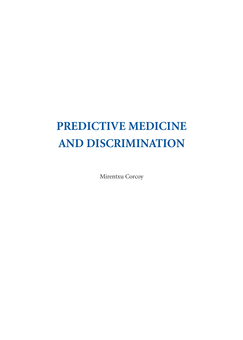## **PREDICTIVE MEDICINE AND DISCRIMINATION**

Mirentxu Corcoy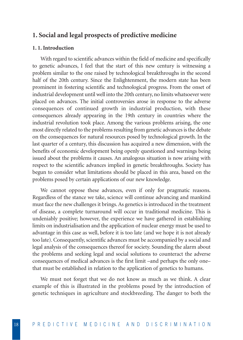#### **1. Social and legal prospects of predictive medicine**

#### **1. 1. Introduction**

18

With regard to scientific advances within the field of medicine and specifically to genetic advances, I feel that the start of this new century is witnessing a problem similar to the one raised by technological breakthroughs in the second half of the 20th century. Since the Enlightenment, the modern state has been prominent in fostering scientific and technological progress. From the onset of industrial development until well into the 20th century, no limits whatsoever were placed on advances. The initial controversies arose in response to the adverse consequences of continued growth in industrial production, with these consequences already appearing in the 19th century in countries where the industrial revolution took place. Among the various problems arising, the one most directly related to the problems resulting from genetic advances is the debate on the consequences for natural resources posed by technological growth. In the last quarter of a century, this discussion has acquired a new dimension, with the benefits of economic development being openly questioned and warnings being issued about the problems it causes. An analogous situation is now arising with respect to the scientific advances implied in genetic breakthroughs. Society has begun to consider what limitations should be placed in this area, based on the problems posed by certain applications of our new knowledge.

We cannot oppose these advances, even if only for pragmatic reasons. Regardless of the stance we take, science will continue advancing and mankind must face the new challenges it brings. As genetics is introduced in the treatment of disease, a complete turnaround will occur in traditional medicine. This is undeniably positive; however, the experience we have gathered in establishing limits on industrialisation and the application of nuclear energy must be used to advantage in this case as well, before it is too late (and we hope it is not already too late). Consequently, scientific advances must be accompanied by a social and legal analysis of the consequences thereof for society. Sounding the alarm about the problems and seeking legal and social solutions to counteract the adverse consequences of medical advances is the first limit –and perhaps the only one– that must be established in relation to the application of genetics to humans.

We must not forget that we do not know as much as we think. A clear example of this is illustrated in the problems posed by the introduction of genetic techniques in agriculture and stockbreeding. The danger to both the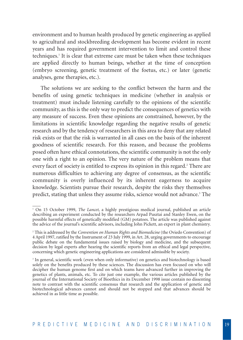environment and to human health produced by genetic engineering as applied to agricultural and stockbreeding development has become evident in recent years and has required government intervention to limit and control these techniques.<sup>1</sup> It is clear that extreme care must be taken when these techniques are applied directly to human beings, whether at the time of conception (embryo screening, genetic treatment of the foetus, etc.) or later (genetic analyses, gene therapies, etc.).

The solutions we are seeking to the conflict between the harm and the benefits of using genetic techniques in medicine (whether in analysis or treatment) must include listening carefully to the opinions of the scientific community, as this is the only way to predict the consequences of genetics with any measure of success. Even these opinions are constrained, however, by the limitations in scientific knowledge regarding the negative results of genetic research and by the tendency of researchers in this area to deny that any related risk exists or that the risk is warranted in all cases on the basis of the inherent goodness of scientific research. For this reason, and because the problems posed often have ethical connotations, the scientific community is not the only one with a right to an opinion. The very nature of the problem means that every facet of society is entitled to express its opinion in this regard.<sup>2</sup> There are numerous difficulties to achieving any degree of consensus, as the scientific community is overly influenced by its inherent eagerness to acquire knowledge. Scientists pursue their research, despite the risks they themselves predict, stating that unless they assume risks, science would not advance.<sup>3</sup> The

<sup>&</sup>lt;sup>1</sup> On 15 October 1999, *The Lancet*, a highly prestigious medical journal, published an article describing an experiment conducted by the researchers Arpad Pusztai and Stanley Ewen, on the possible harmful effects of genetically modified (GM) potatoes. The article was published against the advice of the journal's scientific advisors, including John Pickett, an expert in plant chemistry.

<sup>2</sup> This is addressed by the *Convention on Human Rights and Biomedicine* (the Oviedo Convention) of 4 April 1997, ratified by the Instrument of 23 July 1999, in Art. 28, urging governments to encourage public debate on the fundamental issues raised by biology and medicine, and the subsequent decision by legal experts after hearing the scientific reports from an ethical and legal perspective, concerning which genetic engineering applications are considered admissible by society.

<sup>&</sup>lt;sup>3</sup> In general, scientific work (even when only informative) on genetics and biotechnology is based solely on the benefits produced by these sciences. The discussion has even focused on who will decipher the human genome first and on which teams have advanced further in improving the genetics of plants, animals, etc. To cite just one example, the various articles published by the journal of the International Society of Bioethics in its December 1998 issue contain no dissenting note to contrast with the scientific consensus that research and the application of genetic and biotechnological advances cannot and should not be stopped and that advances should be achieved in as little time as possible.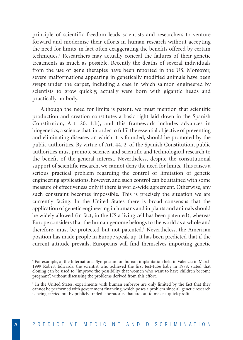principle of scientific freedom leads scientists and researchers to venture forward and modernise their efforts in human research without accepting the need for limits, in fact often exaggerating the benefits offered by certain techniques.4 Researchers may actually conceal the failures of their genetic treatments as much as possible. Recently the deaths of several individuals from the use of gene therapies have been reported in the US. Moreover, severe malformations appearing in genetically modified animals have been swept under the carpet, including a case in which salmon engineered by scientists to grow quickly, actually were born with gigantic heads and practically no body.

Although the need for limits is patent, we must mention that scientific production and creation constitutes a basic right laid down in the Spanish Constitution, Art. 20. 1.b), and this framework includes advances in biogenetics, a science that, in order to fulfil the essential objective of preventing and eliminating diseases on which it is founded, should be promoted by the public authorities. By virtue of Art. 44. 2. of the Spanish Constitution, public authorities must promote science, and scientific and technological research to the benefit of the general interest. Nevertheless, despite the constitutional support of scientific research, we cannot deny the need for limits. This raises a serious practical problem regarding the control or limitation of genetic engineering applications, however, and such control can be attained with some measure of effectiveness only if there is world-wide agreement. Otherwise, any such constraint becomes impossible. This is precisely the situation we are currently facing. In the United States there is broad consensus that the application of genetic engineering in humans and in plants and animals should be widely allowed (in fact, in the US a living cell has been patented), whereas Europe considers that the human genome belongs to the world as a whole and therefore, must be protected but not patented.<sup>5</sup> Nevertheless, the American position has made people in Europe speak up. It has been predicted that if the current attitude prevails, Europeans will find themselves importing genetic

20

<sup>4</sup> For example, at the International Symposium on human implantation held in Valencia in March 1999 Robert Edwards, the scientist who achieved the first test-tube baby in 1978, stated that cloning can be used to "improve the possibility that women who want to have children become pregnant", without discussing the problems derived from this effort.

<sup>&</sup>lt;sup>5</sup> In the United States, experiments with human embryos are only limited by the fact that they cannot be performed with government financing, which poses a problem since all genetic research is being carried out by publicly traded laboratories that are out to make a quick profit.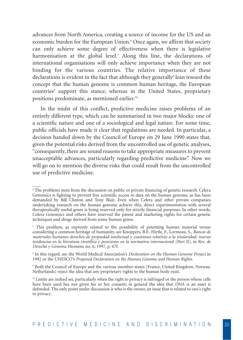advances from North America, creating a source of income for the US and an economic burden for the European Union.<sup>6</sup> Once again, we affirm that society can only achieve some degree of effectiveness when there is legislative harmonisation at the global level.<sup>7</sup> Along this line, the declarations of international organisations will only achieve importance when they are not binding for the various countries. The relative importance of these declarations is evident in the fact that although they generally<sup>8</sup> lean toward the concept that the human genome is common human heritage, the European countries<sup>9</sup> support this stance, whereas in the United States, proprietary positions predominate, as mentioned earlier.<sup>10</sup>

In the midst of this conflict, predictive medicine raises problems of an entirely different type, which can be summarised in two major blocks: one of a scientific nature and one of a sociological and legal nature. For some time, public officials have made it clear that regulations are needed. In particular, a decision handed down by the Council of Europe on 29 June 1990 states that, given the potential risks derived from the uncontrolled use of genetic analyses, "consequently, there are sound reasons to take appropriate measures to prevent unacceptable advances, particularly regarding predictive medicine". Now we will go on to mention the diverse risks that could result from the uncontrolled use of predictive medicine.

<sup>6</sup> The problems stem from the discussion on public or private financing of genetic research. Celera Genomics is fighting to prevent free scientific access to data on the human genome, as has been demanded by Bill Clinton and Tony Blair. Even when Celera and other private companies undertaking research on the human genome achieve this, direct experimentation with several therapeutically useful genes is being reserved only for strictly financial purposes. In other words, Celera Genomics and others have reserved the patent and marketing rights for certain genetic techniques and drugs derived from some human genes.

 $\sigma$  This problem, as expressly related to the possibility of patenting human material versus considering a common heritage of humanity, see Knoppers, B.F., Hirtle, F., Lormeau, S., *Bancos de materiales humanos derechos de propiedad intelectual y cuestiones relativas a la titularidad: nuevas tendencias en la literatura científica y posiciones en la normativa internacional (Part II),* in *Rev. de Derecho y Genoma Humano,* no. 6, 1997, p. 67f.

<sup>8</sup> In this regard, see the World Medical Association's *Declaration on the Human Genome Project* in 1992 or the UNESCO's *Proposed Declaration on the Human Genome and Human Rights.*

<sup>9</sup> Both the Council of Europe and the various member-states (France, United Kingdom, Norway, Netherlands) reject the idea that any proprietary rights to the human body exist.

<sup>10</sup> Limits are indeed set, particularly when the right to privacy is infringed or the person whose cells have been used has not given his or her consent; in general the idea that DNA is an asset is defended. The only point under discussion is who is the owner, an issue that is related to one's right to privacy.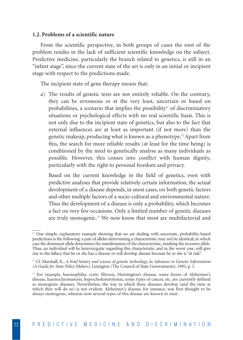#### **1.2. Problems of a scientific nature**

From the scientific perspective, in both groups of cases the root of the problem resides in the lack of sufficient scientific knowledge on the subject. Predictive medicine, particularly the branch related to genetics, is still in an "infant stage", since the current state of the art is only in an initial or incipient stage with respect to the predictions made.

The incipient state of gene therapy means that:

a) The results of genetic tests are not entirely reliable. On the contrary, they can be erroneous or at the very least, uncertain or based on probabilities, a scenario that implies the possibility $\mu$  of discriminatory situations or psychological effects with no real scientific basis. This is not only due to the incipient state of genetics, but also to the fact that external influences are at least as important (if not more) than the genetic makeup, producing what is known as a phenotype.12 Apart from this, the search for more reliable results (at least for the time being) is conditioned by the need to genetically analyse as many individuals as possible. However, this comes into conflict with human dignity, particularly with the right to personal freedom and privacy.

Based on the current knowledge in the field of genetics, even with predictive analyses that provide relatively certain information, the actual development of a disease depends, in most cases, on both genetic factors and other multiple factors of a socio-cultural and environmental nature. Thus the development of a disease is only a probability, which becomes a fact on very few occasions. Only a limited number of genetic diseases are truly monogenic.<sup>13</sup> We now know that most are multifactorial and

<sup>&</sup>lt;sup>11</sup> One simple, explanatory example showing that we are dealing with uncertain, probability-based predictions is the following: a pair of alleles determining a characteristic may not be identical, in which case the dominant allele determines the manifestation of the characteristic, masking the recessive allele. Thus, an individual will be heterozygotic regarding this characteristic and in the worst case, will give rise to the fallacy that he or she has a disease or will develop disease because he or she is "at risk".

<sup>12</sup> Cf. Marshall, K., *A brief history and science of genetic technology,* in *Advances in Genetic Information (A Guide for State Policy Makers),* Lexington (The Council of State Governments), 1993, p. 2.

<sup>&</sup>lt;sup>13</sup> For example, haemophilia, cystic fibrosis, Huntington's disease, some forms of Alzheimer's disease, haemochromatosis, hypercholesterolemia, some types of cancer, etc. are currently defined as monogenic diseases. Nevertheless, the way in which these diseases develop (and the time at which they will do so) is not evident. Alzheimer's disease, for instance, was first thought to be always monogenic, whereas now several types of this disease are known to exist.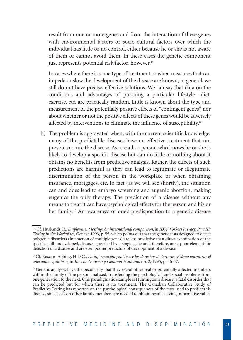result from one or more genes and from the interaction of these genes with environmental factors or socio-cultural factors over which the individual has little or no control, either because he or she is not aware of them or cannot avoid them. In these cases the genetic component just represents potential risk factor, however.<sup>14</sup>

In cases where there is some type of treatment or when measures that can impede or slow the development of the disease are known, in general, we still do not have precise, effective solutions. We can say that data on the conditions and advantages of pursuing a particular lifestyle –diet, exercise, etc. are practically random. Little is known about the type and measurement of the potentially positive effects of "contingent genes", nor about whether or not the positive effects of these genes would be adversely affected by interventions to eliminate the influence of susceptibility.15

b) The problem is aggravated when, with the current scientific knowledge, many of the predictable diseases have no effective treatment that can prevent or cure the disease. As a result, a person who knows he or she is likely to develop a specific disease but can do little or nothing about it obtains no benefits from predictive analysis. Rather, the effects of such predictions are harmful as they can lead to legitimate or illegitimate discrimination of the person in the workplace or when obtaining insurance, mortgages, etc. In fact (as we will see shortly), the situation can and does lead to embryo screening and eugenic abortion, making eugenics the only therapy. The prediction of a disease without any means to treat it can have psychological effects for the person and his or her family.<sup>16</sup> An awareness of one's predisposition to a genetic disease

<sup>14</sup> Cf. Husbands, R., *Employment testing: An international comparison*, in *ILO: Workers Privacy. Part III: Testing in the Workplace,* Geneva 1993, p. 55, which points out that the genetic tests designed to detect polygenic disorders (interaction of multiple genes) are less predictive than direct examination of the specific, still undeveloped, diseases governed by a single gene and, therefore, are a poor element for detection of a disease and are even poorer predictors of development of a disease.

<sup>15</sup> Cf. Roscam Abbing, H.D.C., *La información genética y los derechos de terceros. ¿Cómo encontrar el adecuado equilibrio,* in *Rev. de Derecho y Genoma Humano,* no. 2, 1995, p. 36-37.

<sup>&</sup>lt;sup>16</sup> Genetic analyses have the peculiarity that they reveal other real or potentially affected members within the family of the person analysed, transferring the psychological and social problems from one generation to the next. One paradigmatic example is Huntington's disease, a fatal disorder that can be predicted but for which there is no treatment. The Canadian Collaborative Study of Predictive Testing has reported on the psychological consequences of the tests used to predict this disease, since tests on other family members are needed to obtain results having informative value.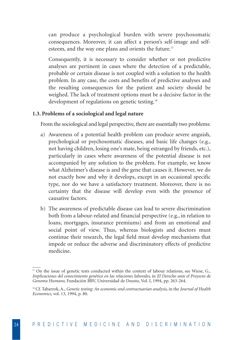can produce a psychological burden with severe psychosomatic consequences. Moreover, it can affect a person's self-image and selfesteem, and the way one plans and orients the future.<sup>17</sup>

Consequently, it is necessary to consider whether or not predictive analyses are pertinent in cases where the detection of a predictable, probable or certain disease is not coupled with a solution to the health problem. In any case, the costs and benefits of predictive analyses and the resulting consequences for the patient and society should be weighed. The lack of treatment options must be a decisive factor in the development of regulations on genetic testing.<sup>18</sup>

#### **1.3. Problems of a sociological and legal nature**

From the sociological and legal perspective, there are essentially two problems:

- a) Awareness of a potential health problem can produce severe anguish, psychological or psychosomatic diseases, and basic life changes (e.g., not having children, losing one's mate, being estranged by friends, etc.), particularly in cases where awareness of the potential disease is not accompanied by any solution to the problem. For example, we know what Alzheimer's disease is and the gene that causes it. However, we do not exactly how and why it develops, except in an occasional specific type, nor do we have a satisfactory treatment. Moreover, there is no certainty that the disease will develop even with the presence of causative factors.
- b) The awareness of predictable disease can lead to severe discrimination both from a labour-related and financial perspective (e.g., in relation to loans, mortgages, insurance premiums) and from an emotional and social point of view. Thus, whereas biologists and doctors must continue their research, the legal field must develop mechanisms that impede or reduce the adverse and discriminatory effects of predictive medicine.

24

<sup>&</sup>lt;sup>17</sup> On the issue of genetic tests conducted within the context of labour relations, see Wiese, G., *Implicaciones del conocimiento genético en las relaciones laborales,* in *El Derecho ante el Proyecto de Genoma Humano,* Fundación BBV, Universidad de Deusto, Vol. I, 1994, pp. 263-264.

<sup>18</sup> Cf. Tabarrok, A., *Genetic testing: An economic and contractuarian analysis,* in the *Journal of Health Economics,* vol. 13, 1994, p. 80.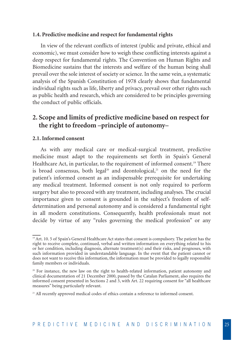#### **1.4. Predictive medicine and respect for fundamental rights**

In view of the relevant conflicts of interest (public and private, ethical and economic), we must consider how to weigh these conflicting interests against a deep respect for fundamental rights. The Convention on Human Rights and Biomedicine sustains that the interests and welfare of the human being shall prevail over the sole interest of society or science. In the same vein, a systematic analysis of the Spanish Constitution of 1978 clearly shows that fundamental individual rights such as life, liberty and privacy, prevail over other rights such as public health and research, which are considered to be principles governing the conduct of public officials.

## **2. Scope and limits of predictive medicine based on respect for the right to freedom –principle of autonomy–**

#### **2.1. Informed consent**

As with any medical care or medical-surgical treatment, predictive medicine must adapt to the requirements set forth in Spain's General Healthcare Act, in particular, to the requirement of informed consent.<sup>19</sup> There is broad consensus, both legal<sup>20</sup> and deontological,<sup>21</sup> on the need for the patient's informed consent as an indispensable prerequisite for undertaking any medical treatment. Informed consent is not only required to perform surgery but also to proceed with any treatment, including analyses. The crucial importance given to consent is grounded in the subject's freedom of selfdetermination and personal autonomy and is considered a fundamental right in all modern constitutions. Consequently, health professionals must not decide by virtue of any "rules governing the medical profession" or any

<sup>&</sup>lt;sup>19</sup> Art. 10. 5 of Spain's General Healthcare Act states that consent is compulsory. The patient has the right to receive complete, continued, verbal and written information on everything related to his or her condition, including diagnosis, alternate treatment(s) and their risks, and prognoses, with such information provided in understandable language. In the event that the patient cannot or does not want to receive this information, the information must be provided to legally responsible family members or individuals.

<sup>&</sup>lt;sup>20</sup> For instance, the new law on the right to health-related information, patient autonomy and clinical documentation of 21 December 2000, passed by the Catalan Parliament, also requires the informed consent presented in Sections 2 and 3, with Art. 22 requiring consent for "all healthcare measures" being particularly relevant.

<sup>&</sup>lt;sup>21</sup> All recently approved medical codes of ethics contain a reference to informed consent.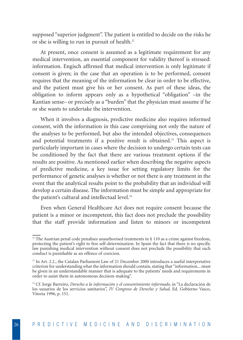supposed "superior judgment". The patient is entitled to decide on the risks he or she is willing to run in pursuit of health. $22$ 

At present, once consent is assumed as a legitimate requirement for any medical intervention, an essential component for validity thereof is stressed: information. Engisch affirmed that medical intervention is only legitimate if consent is given; in the case that an operation is to be performed, consent requires that the meaning of the information be clear in order to be effective, and the patient must give his or her consent. As part of these ideas, the obligation to inform appears only as a hypothetical "obligation" –in the Kantian sense– or precisely as a "burden" that the physician must assume if he or she wants to undertake the intervention.

When it involves a diagnosis, predictive medicine also requires informed consent, with the information in this case comprising not only the nature of the analyses to be performed, but also the intended objectives, consequences and potential treatments if a positive result is obtained.<sup>23</sup> This aspect is particularly important in cases where the decision to undergo certain tests can be conditioned by the fact that there are various treatment options if the results are positive. As mentioned earlier when describing the negative aspects of predictive medicine, a key issue for setting regulatory limits for the performance of genetic analyses is whether or not there is any treatment in the event that the analytical results point to the probability that an individual will develop a certain disease. The information must be simple and appropriate for the patient's cultural and intellectual level.<sup>24</sup>

Even when General Healthcare Act does not require consent because the patient is a minor or incompetent, this fact does not preclude the possibility that the staff provide information and listen to minors or incompetent

 $22$ <sup>22</sup> The Austrian penal code penalises unauthorised treatments in § 110 as a crime against freedom, protecting the patient's right to free self-determination. In Spain the fact that there is no specific law punishing medical intervention without consent does not preclude the possibility that such conduct is punishable as an offence of coercion.

<sup>&</sup>lt;sup>23</sup> In Art. 2.2., the Catalan Parliament Law of 21 December 2000 introduces a useful interpretative criterion for understanding what the information should contain, stating that "information... must be given in an understandable manner that is adequate to the patients' needs and requirements in order to assist them in autonomous decision-making".

<sup>24</sup> Cf. Jorge Barreiro, *Derecho a la información y el consentimiento informado,* in "La declaración de los usuarios de los servicios sanitarios", *IV Congreso de Derecho y Salud,* Ed. Gobierno Vasco, Vitoria 1996, p. 151.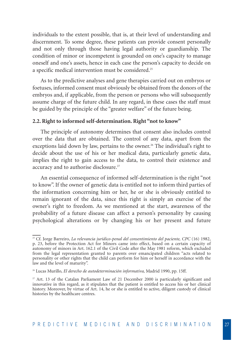individuals to the extent possible, that is, at their level of understanding and discernment. To some degree, these patients can provide consent personally and not only through those having legal authority or guardianship. The condition of minor or incompetent is grounded on one's capacity to manage oneself and one's assets, hence in each case the person's capacity to decide on a specific medical intervention must be considered.<sup>25</sup>

As to the predictive analyses and gene therapies carried out on embryos or foetuses, informed consent must obviously be obtained from the donors of the embryos and, if applicable, from the person or persons who will subsequently assume charge of the future child. In any regard, in these cases the staff must be guided by the principle of the "greater welfare" of the future being.

#### **2.2. Right to informed self-determination. Right "not to know"**

The principle of autonomy determines that consent also includes control over the data that are obtained. The control of any data, apart from the exceptions laid down by law, pertains to the owner.<sup>26</sup> The individual's right to decide about the use of his or her medical data, particularly genetic data, implies the right to gain access to the data, to control their existence and accuracy and to authorise disclosure.<sup>27</sup>

An essential consequence of informed self-determination is the right "not to know". If the owner of genetic data is entitled not to inform third parties of the information concerning him or her, he or she is obviously entitled to remain ignorant of the data, since this right is simply an exercise of the owner's right to freedom. As we mentioned at the start, awareness of the probability of a future disease can affect a person's personality by causing psychological alterations or by changing his or her present and future

<sup>25</sup> Cf. Jorge Barreiro, *La relevancia jurídico-penal del consentimiento del paciente, CPC* (16) 1982, p. 23, before the Protection Act for Minors came into effect, based on a certain capacity of autonomy of minors in Art. 162.1 of the Civil Code after the May 1981 reform, which excluded from the legal representation granted to parents over emancipated children "acts related to personality or other rights that the child can perform for him or herself in accordance with the law and the level of maturity".

<sup>26</sup> Lucas Murillo, *El derecho de autodeterminación informativa,* Madrid 1990, pp. 15ff.

<sup>&</sup>lt;sup>27</sup> Art. 13 of the Catalan Parliament Law of 21 December 2000 is particularly significant and innovative in this regard, as it stipulates that the patient is entitled to access his or her clinical history. Moreover, by virtue of Art. 14, he or she is entitled to active, diligent custody of clinical histories by the healthcare centres.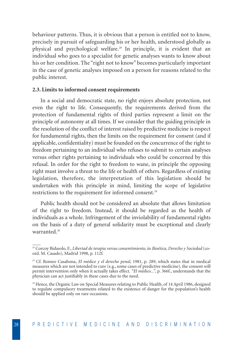behaviour patterns. Thus, it is obvious that a person is entitled not to know, precisely in pursuit of safeguarding his or her health, understood globally as physical and psychological welfare.28 In principle, it is evident that an individual who goes to a specialist for genetic analyses wants to know about his or her condition. The "right not to know" becomes particularly important in the case of genetic analyses imposed on a person for reasons related to the public interest.

#### **2.3. Limits to informed consent requirements**

In a social and democratic state, no right enjoys absolute protection, not even the right to life. Consequently, the requirements derived from the protection of fundamental rights of third parties represent a limit on the principle of autonomy at all times. If we consider that the guiding principle in the resolution of the conflict of interest raised by predictive medicine is respect for fundamental rights, then the limits on the requirement for consent (and if applicable, confidentiality) must be founded on the concurrence of the right to freedom pertaining to an individual who refuses to submit to certain analyses versus other rights pertaining to individuals who could be concerned by this refusal. In order for the right to freedom to wane, in principle the opposing right must involve a threat to the life or health of others. Regardless of existing legislation, therefore, the interpretation of this legislation should be undertaken with this principle in mind, limiting the scope of legislative restrictions to the requirement for informed consent.<sup>29</sup>

Public health should not be considered an absolute that allows limitation of the right to freedom. Instead, it should be regarded as the health of individuals as a whole. Infringement of the inviolability of fundamental rights on the basis of a duty of general solidarity must be exceptional and clearly warranted<sup>30</sup>

<sup>28</sup> Corcoy Bidasolo, F., *Libertad de terapia versus consentimiento,* in *Bioética, Derecho y Sociedad* (coord. M. Casado), Madrid 1998, p. 112f.

<sup>29</sup> Cf. Romeo Casabona, *El médico y el derecho penal,* 1981, p. 289, which states that in medical measures which are not intended to cure (e.g., some cases of predictive medicine), the consent will permit intervention only when it actually takes effect. *"El médico..."*, p. 366f., understands that the physician can act justifiably in these cases due to the need.

<sup>&</sup>lt;sup>30</sup> Hence, the Organic Law on Special Measures relating to Public Health, of 14 April 1986, designed to regulate compulsory treatments related to the existence of danger for the population's health should be applied only on rare occasions.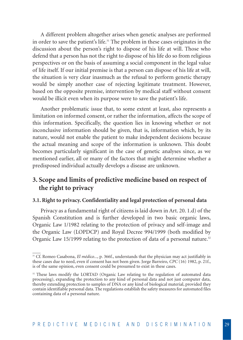A different problem altogether arises when genetic analyses are performed in order to save the patient's life.31 The problem in these cases originates in the discussion about the person's right to dispose of his life at will. Those who defend that a person has not the right to dispose of his life do so from religious perspectives or on the basis of assuming a social component in the legal value of life itself. If our initial premise is that a person can dispose of his life at will, the situation is very clear inasmuch as the refusal to perform genetic therapy would be simply another case of rejecting legitimate treatment. However, based on the opposite premise, intervention by medical staff without consent would be illicit even when its purpose were to save the patient's life.

Another problematic issue that, to some extent at least, also represents a limitation on informed consent, or rather the information, affects the scope of this information. Specifically, the question lies in knowing whether or not inconclusive information should be given, that is, information which, by its nature, would not enable the patient to make independent decisions because the actual meaning and scope of the information is unknown. This doubt becomes particularly significant in the case of genetic analyses since, as we mentioned earlier, all or many of the factors that might determine whether a predisposed individual actually develops a disease are unknown.

## **3. Scope and limits of predictive medicine based on respect of the right to privacy**

#### **3.1. Right to privacy. Confidentiality and legal protection of personal data**

Privacy as a fundamental right of citizens is laid down in Art. 20. 1.d) of the Spanish Constitution and is further developed in two basic organic laws, Organic Law 1/1982 relating to the protection of privacy and self-image and the Organic Law (LOPDCP) and Royal Decree 994/1999 (both modified by Organic Law 15/1999 relating to the protection of data of a personal nature.<sup>32</sup>

29

<sup>&</sup>lt;sup>31</sup> Cf. Romeo Casabona, *El médico...*, p. 366f., understands that the physician may act justifiably in these cases due to need, even if consent has not been given. Jorge Barreiro, *CPC* (16) 1982, p. 21f., is of the same opinion, even consent could be presumed to exist in these cases.

<sup>&</sup>lt;sup>32</sup> These laws modify the LORTAD (Organic Law relating to the regulation of automated data processing), expanding the protection to any kind of personal data and not just computer data, thereby extending protection to samples of DNA or any kind of biological material, provided they contain identifiable personal data. The regulations establish the safety measures for automated files containing data of a personal nature.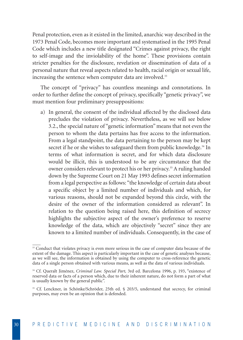Penal protection, even as it existed in the limited, anarchic way described in the 1973 Penal Code, becomes more important and systematised in the 1995 Penal Code which includes a new title designated "Crimes against privacy, the right to self-image and the inviolability of the home". These provisions contain stricter penalties for the disclosure, revelation or dissemination of data of a personal nature that reveal aspects related to health, racial origin or sexual life, increasing the sentence when computer data are involved.<sup>33</sup>

The concept of "privacy" has countless meanings and connotations. In order to further define the concept of privacy, specifically "genetic privacy", we must mention four preliminary presuppositions:

a) In general, the consent of the individual affected by the disclosed data precludes the violation of privacy. Nevertheless, as we will see below 3.2., the special nature of "genetic information" means that not even the person to whom the data pertains has free access to the information. From a legal standpoint, the data pertaining to the person may be kept secret if he or she wishes to safeguard them from public knowledge.<sup>34</sup> In terms of what information is secret, and for which data disclosure would be illicit, this is understood to be any circumstance that the owner considers relevant to protect his or her privacy.<sup>35</sup> A ruling handed down by the Supreme Court on 21 May 1993 defines secret information from a legal perspective as follows: "the knowledge of certain data about a specific object by a limited number of individuals and which, for various reasons, should not be expanded beyond this circle, with the desire of the owner of the information considered as relevant". In relation to the question being raised here, this definition of secrecy highlights the subjective aspect of the owner's preference to reserve knowledge of the data, which are objectively "secret" since they are known to a limited number of individuals. Consequently, in the case of

<sup>&</sup>lt;sup>33</sup> Conduct that violates privacy is even more serious in the case of computer data because of the extent of the damage. This aspect is particularly important in the case of genetic analyses because, as we will see, the information is obtained by using the computer to cross-reference the genetic data of a single person obtained with various means, as well as the data of various individuals.

<sup>34</sup> Cf. Queralt Jiménez, *Criminal Law. Special Part,* 3rd ed. Barcelona 1996, p. 193, "existence of reserved data or facts of a person which, due to their inherent nature, do not form a part of what is usually known by the general public".

<sup>&</sup>lt;sup>35</sup> Cf. Lenckner, in Schönke/Schröder, 25th ed. § 203/5, understand that secrecy, for criminal purposes, may even be an opinion that is defended.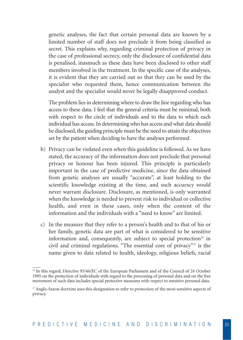genetic analyses, the fact that certain personal data are known by a limited number of staff does not preclude it from being classified as secret. This explains why, regarding criminal protection of privacy in the case of professional secrecy, only the disclosure of confidential data is penalised, inasmuch as these data have been disclosed to other staff members involved in the treatment. In the specific case of the analyses, it is evident that they are carried out so that they can be used by the specialist who requested them, hence communication between the analyst and the specialist would never be legally disapproved conduct.

The problem lies in determining where to draw the line regarding who has access to these data. I feel that the general criteria must be minimal, both with respect to the circle of individuals and to the data to which each individual has access. In determining who has access and what data should be disclosed, the guiding principle must be the need to attain the objectives set by the patient when deciding to have the analyses performed.

- b) Privacy can be violated even when this guideline is followed. As we have stated, the accuracy of the information does not preclude that personal privacy or honour has been injured. This principle is particularly important in the case of predictive medicine, since the data obtained from genetic analyses are usually "accurate", at least holding to the scientific knowledge existing at the time, and such accuracy would never warrant disclosure. Disclosure, as mentioned, is only warranted when the knowledge is needed to prevent risk to individual or collective health, and even in these cases, only when the content of the information and the individuals with a "need to know" are limited.
- c) In the measure that they refer to a person's health and to that of his or her family, genetic data are part of what is considered to be sensitive information and, consequently, are subject to special protection<sup>36</sup> in civil and criminal regulations. "The essential core of privacy"37 is the name given to data related to health, ideology, religious beliefs, racial

<sup>&</sup>lt;sup>36</sup> In this regard, Directive 95/46/EC of the European Parliament and of the Council of 24 October 1995 on the protection of individuals with regard to the processing of personal data and on the free movement of such data includes special protective measures with respect to sensitive personal data.

<sup>&</sup>lt;sup>37</sup> Anglo-Saxon doctrine uses this designation to refer to protection of the most sensitive aspects of privacy.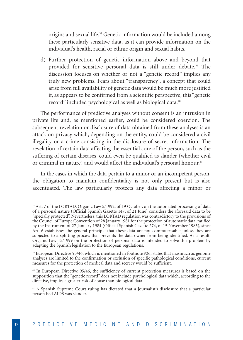origins and sexual life.38 Genetic information would be included among these particularly sensitive data, as it can provide information on the individual's health, racial or ethnic origin and sexual habits.

d) Further protection of genetic information above and beyond that provided for sensitive personal data is still under debate.39 The discussion focuses on whether or not a "genetic record" implies any truly new problems. Fears about "transparency", a concept that could arise from full availability of genetic data would be much more justified if, as appears to be confirmed from a scientific perspective, this "genetic record" included psychological as well as biological data.<sup>40</sup>

The performance of predictive analyses without consent is an intrusion in private life and, as mentioned earlier, could be considered coercion. The subsequent revelation or disclosure of data obtained from these analyses is an attack on privacy which, depending on the entity, could be considered a civil illegality or a crime consisting in the disclosure of secret information. The revelation of certain data affecting the essential core of the person, such as the suffering of certain diseases, could even be qualified as slander (whether civil or criminal in nature) and would affect the individual's personal honour.<sup>41</sup>

In the cases in which the data pertain to a minor or an incompetent person, the obligation to maintain confidentiality is not only present but is also accentuated. The law particularly protects any data affecting a minor or

32

<sup>&</sup>lt;sup>38</sup> Art. 7 of the LORTAD, Organic Law 5/1992, of 19 October, on the automated processing of data of a personal nature (Official Spanish Gazette 147, of 21 June) considers the aforesaid data to be "specially protected". Nevertheless, this LORTAD regulation was contradictory to the provisions of the Council of Europe Convention of 28 January 1981 for the protection of automatic data, ratified by the Instrument of 27 January 1984 (Official Spanish Gazette 274, of 15 November 1985), since Art. 6 establishes the general principle that these data are not computerisable unless they are subjected to a splitting process that prevents the data owner from being identified. As a result, Organic Law 15/1999 on the protection of personal data is intended to solve this problem by adapting the Spanish legislation to the European regulations.

<sup>39</sup> European Directive 95/46, which is mentioned in footnote #36, states that inasmuch as genome analyses are limited to the confirmation or exclusion of specific pathological conditions, current measures for the protection of medical data and secrecy would be sufficient.

<sup>40</sup> In European Directive 95/46, the sufficiency of current protection measures is based on the supposition that the "genetic record" does not include psychological data which, according to the directive, implies a greater risk of abuse than biological data.

<sup>41</sup> A Spanish Supreme Court ruling has dictated that a journalist's disclosure that a particular person had AIDS was slander.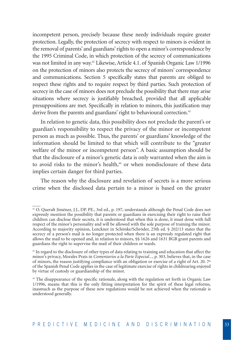incompetent person, precisely because these needy individuals require greater protection. Legally, the protection of secrecy with respect to minors is evident in the removal of parents' and guardians' rights to open a minor's correspondence by the 1995 Criminal Code, in which protection of the secrecy of communications was not limited in any way.42 Likewise, Article 4.1. of Spanish Organic Law 1/1996 on the protection of minors also protects the secrecy of minors' correspondence and communications. Section 5 specifically states that parents are obliged to respect these rights and to require respect by third parties. Such protection of secrecy in the case of minors does not preclude the possibility that there may arise situations where secrecy is justifiably breached, provided that all applicable presuppositions are met. Specifically in relation to minors, this justification may derive from the parents and guardians' right to behavioural correction.<sup>43</sup>

In relation to genetic data, this possibility does not preclude the parent's or guardian's responsibility to respect the privacy of the minor or incompetent person as much as possible. Thus, the parents' or guardians' knowledge of the information should be limited to that which will contribute to the "greater welfare of the minor or incompetent person". A basic assumption should be that the disclosure of a minor's genetic data is only warranted when the aim is to avoid risks to the minor's health,<sup>44</sup> or when nondisclosure of these data implies certain danger for third parties.

The reason why the disclosure and revelation of secrets is a more serious crime when the disclosed data pertain to a minor is based on the greater

 $42$  O. Queralt Jiménez, J.J., DP. PE., 3rd ed., p. 197, understands although the Penal Code does not expressly mention the possibility that parents or guardians in exercising their right to raise their children can disclose their secrets, it is understood that when this is done, it must done with full respect of the minor's personality and will be allowed with the sole purpose of training the minor. According to majority opinion, Lenckner in Schönke/Schröder, 25th ed. § 202/13 states that the secrecy of a person's mail is no longer protected when there is an expressly regulated right that allows the mail to be opened and, in relation to minors, §§ 1626 and 1631 BGB grant parents and guardians the right to supervise the mail of their children or wards.

<sup>43</sup> In regard to the disclosure of other types of data relating to training and education that affect the minor's privacy, Morales Prats in *Comentarios a la Parte Especial...,* p. 303, believes that, in the case of minors, the reason justifying compliance with an obligation or exercise of a right of Art. 20. 7º of the Spanish Penal Code applies in the case of legitimate exercise of rights in childrearing enjoyed by virtue of custody or guardianship of the minor.

<sup>44</sup> The disappearance of the specific rationale, along with the regulation set forth in Organic Law 1/1996, means that this is the only fitting interpretation for the spirit of these legal reforms, inasmuch as the purpose of these new regulations would be not achieved when the rationale is understood generally.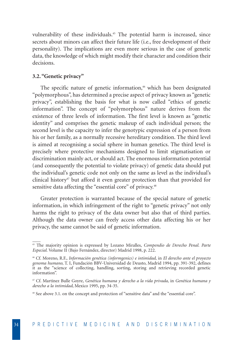vulnerability of these individuals.45 The potential harm is increased, since secrets about minors can affect their future life (i.e., free development of their personality). The implications are even more serious in the case of genetic data, the knowledge of which might modify their character and condition their decisions.

#### **3.2. "Genetic privacy"**

The specific nature of genetic information,<sup>46</sup> which has been designated "polymorphous", has determined a precise aspect of privacy known as "genetic privacy", establishing the basis for what is now called "ethics of genetic information". The concept of "polymorphous" nature derives from the existence of three levels of information. The first level is known as "genetic identity" and comprises the genetic makeup of each individual person; the second level is the capacity to infer the genotypic expression of a person from his or her family, as a normally recessive hereditary condition. The third level is aimed at recognising a social sphere in human genetics. The third level is precisely where protective mechanisms designed to limit stigmatisation or discrimination mainly act, or should act. The enormous information potential (and consequently the potential to violate privacy) of genetic data should put the individual's genetic code not only on the same as level as the individual's clinical history<sup>47</sup> but afford it even greater protection than that provided for sensitive data affecting the "essential core" of privacy.<sup>48</sup>

Greater protection is warranted because of the special nature of genetic information, in which infringement of the right to "genetic privacy" not only harms the right to privacy of the data owner but also that of third parties. Although the data owner can freely access other data affecting his or her privacy, the same cannot be said of genetic information.

<sup>45</sup> The majority opinion is expressed by Lozano Miralles, *Compendio de Derecho Penal. Parte Especial.* Volume II (Bajo Fernández, director) Madrid 1998, p. 222.

<sup>46</sup> Cf. Moreno, R.F., *Información genética (informgenics) e intimidad,* in *El derecho ante el proyecto genoma humano*, T. I, Fundación BBV-Universidad de Deusto, Madrid 1994, pp. 391-392, defines it as the "science of collecting, handling, sorting, storing and retrieving recorded genetic information".

<sup>47</sup> Cf. Martínez Bulle Goyre, *Genética humana y derecho a la vida privada,* in *Genética humana y derecho a la intimidad*, Mexico 1995, pp. 34-35.

<sup>&</sup>lt;sup>48</sup> See above 3.1. on the concept and protection of "sensitive data" and the "essential core".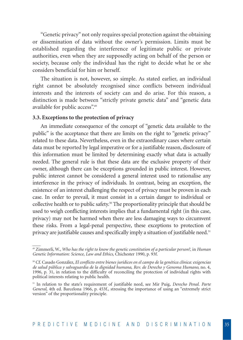"Genetic privacy" not only requires special protection against the obtaining or dissemination of data without the owner's permission. Limits must be established regarding the interference of legitimate public or private authorities, even when they are supposedly acting on behalf of the person or society, because only the individual has the right to decide what he or she considers beneficial for him or herself.

The situation is not, however, so simple. As stated earlier, an individual right cannot be absolutely recognised since conflicts between individual interests and the interests of society can and do arise. For this reason, a distinction is made between "strictly private genetic data" and "genetic data available for public access".<sup>49</sup>

#### **3.3. Exceptions to the protection of privacy**

An immediate consequence of the concept of "genetic data available to the public" is the acceptance that there are limits on the right to "genetic privacy" related to these data. Nevertheless, even in the extraordinary cases where certain data must be reported by legal imperative or for a justifiable reason, disclosure of this information must be limited by determining exactly what data is actually needed. The general rule is that these data are the exclusive property of their owner, although there can be exceptions grounded in public interest. However, public interest cannot be considered a general interest used to rationalise any interference in the privacy of individuals. In contrast, being an exception, the existence of an interest challenging the respect of privacy must be proven in each case. In order to prevail, it must consist in a certain danger to individual or collective health or to public safety.50 The proportionality principle that should be used to weigh conflicting interests implies that a fundamental right (in this case, privacy) may not be harmed when there are less damaging ways to circumvent these risks. From a legal-penal perspective, these exceptions to protection of privacy are justifiable causes and specifically imply a situation of justifiable need.<sup>51</sup>

<sup>49</sup> Zimmerli, W., *Who has the right to know the genetic constitution of a particular person?,* in *Human Genetic Information: Science, Law and Ethics,* Chichester 1990, p. 93f.

<sup>50</sup> Cf. Casado González, *El conflicto entre bienes jurídicos en el campo de la genética clínica: exigencias de salud pública y salvaguardia de la dignidad humana, Rev. de Derecho y Genoma Humano,* no. 4, 1996, p. 31, in relation to the difficulty of reconciling the protection of individual rights with political interests relating to public health.

<sup>51</sup> In relation to the state's requirement of justifiable need, see Mir Puig, *Derecho Penal. Parte General,* 4th ed. Barcelona 1966, p. 453f., stressing the importance of using an "extremely strict version" of the proportionality principle.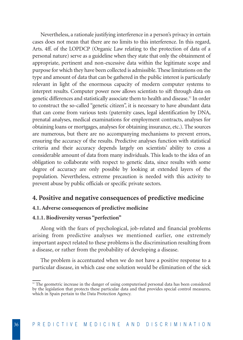Nevertheless, a rationale justifying interference in a person's privacy in certain cases does not mean that there are no limits to this interference. In this regard, Arts. 4ff. of the LOPDCP (Organic Law relating to the protection of data of a personal nature) serve as a guideline when they state that only the obtainment of appropriate, pertinent and non-excessive data within the legitimate scope and purpose for which they have been collected is admissible. These limitations on the type and amount of data that can be gathered in the public interest is particularly relevant in light of the enormous capacity of modern computer systems to interpret results. Computer power now allows scientists to sift through data on genetic differences and statistically associate them to health and disease.<sup>52</sup> In order to construct the so-called "genetic citizen", it is necessary to have abundant data that can come from various tests (paternity cases, legal identification by DNA, prenatal analyses, medical examinations for employment contracts, analyses for obtaining loans or mortgages, analyses for obtaining insurance, etc.). The sources are numerous, but there are no accompanying mechanisms to prevent errors, ensuring the accuracy of the results. Predictive analyses function with statistical criteria and their accuracy depends largely on scientists' ability to cross a considerable amount of data from many individuals. This leads to the idea of an obligation to collaborate with respect to genetic data, since results with some degree of accuracy are only possible by looking at extended layers of the population. Nevertheless, extreme precaution is needed with this activity to prevent abuse by public officials or specific private sectors.

### **4. Positive and negative consequences of predictive medicine**

#### **4.1. Adverse consequences of predictive medicine**

#### **4.1.1. Biodiversity versus "perfection"**

Along with the fears of psychological, job-related and financial problems arising from predictive analyses we mentioned earlier, one extremely important aspect related to these problems is the discrimination resulting from a disease, or rather from the probability of developing a disease.

The problem is accentuated when we do not have a positive response to a particular disease, in which case one solution would be elimination of the sick

 $52$  The geometric increase in the danger of using computerised personal data has been considered by the legislation that protects these particular data and that provides special control measures, which in Spain pertain to the Data Protection Agency.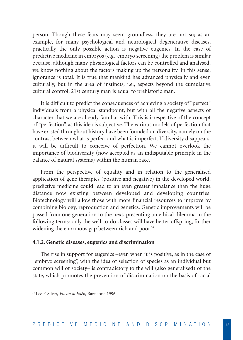person. Though these fears may seem groundless, they are not so; as an example, for many psychological and neurological degenerative diseases, practically the only possible action is negative eugenics. In the case of predictive medicine in embryos (e.g., embryo screening) the problem is similar because, although many physiological factors can be controlled and analysed, we know nothing about the factors making up the personality. In this sense, ignorance is total. It is true that mankind has advanced physically and even culturally, but in the area of instincts, i.e., aspects beyond the cumulative cultural control, 21st century man is equal to prehistoric man.

It is difficult to predict the consequences of achieving a society of "perfect" individuals from a physical standpoint, but with all the negative aspects of character that we are already familiar with. This is irrespective of the concept of "perfection", as this idea is subjective. The various models of perfection that have existed throughout history have been founded on diversity, namely on the contrast between what is perfect and what is imperfect. If diversity disappears, it will be difficult to conceive of perfection. We cannot overlook the importance of biodiversity (now accepted as an indisputable principle in the balance of natural systems) within the human race.

From the perspective of equality and in relation to the generalised application of gene therapies (positive and negative) in the developed world, predictive medicine could lead to an even greater imbalance than the huge distance now existing between developed and developing countries. Biotechnology will allow those with more financial resources to improve by combining biology, reproduction and genetics. Genetic improvements will be passed from one generation to the next, presenting an ethical dilemma in the following terms: only the well-to-do classes will have better offspring, further widening the enormous gap between rich and poor.<sup>53</sup>

#### **4.1.2. Genetic diseases, eugenics and discrimination**

The rise in support for eugenics –even when it is positive, as in the case of "embryo screening", with the idea of selection of species as an individual but common will of society– is contradictory to the will (also generalised) of the state, which promotes the prevention of discrimination on the basis of racial

<sup>53</sup> Lee F. Silver, *Vuelta al Edén,* Barcelona 1996.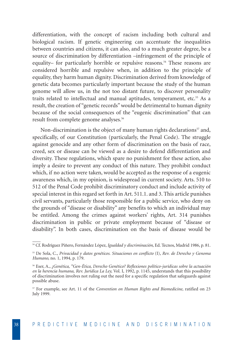differentiation, with the concept of racism including both cultural and biological racism. If genetic engineering can accentuate the inequalities between countries and citizens, it can also, and to a much greater degree, be a source of discrimination by differentiation –infringement of the principle of equality– for particularly horrible or repulsive reasons.<sup>54</sup> These reasons are considered horrible and repulsive when, in addition to the principle of equality, they harm human dignity. Discrimination derived from knowledge of genetic data becomes particularly important because the study of the human genome will allow us, in the not too distant future, to discover personality traits related to intellectual and manual aptitudes, temperament, etc.<sup>55</sup> As a result, the creation of "genetic records" would be detrimental to human dignity because of the social consequences of the "eugenic discrimination" that can result from complete genome analyses.<sup>56</sup>

Non-discrimination is the object of many human rights declarations $57$  and, specifically, of our Constitution (particularly, the Penal Code). The struggle against genocide and any other form of discrimination on the basis of race, creed, sex or disease can be viewed as a desire to defend differentiation and diversity. These regulations, which spare no punishment for these action, also imply a desire to prevent any conduct of this nature. They prohibit conduct which, if no action were taken, would be accepted as the response of a eugenic awareness which, in my opinion, is widespread in current society. Arts. 510 to 512 of the Penal Code prohibit discriminatory conduct and include activity of special interest in this regard set forth in Art. 511.1. and 3. This article punishes civil servants, particularly those responsible for a public service, who deny on the grounds of "disease or disability" any benefits to which an individual may be entitled. Among the crimes against workers' rights, Art. 314 punishes discrimination in public or private employment because of "disease or disability". In both cases, discrimination on the basis of disease would be

<sup>54</sup> Cf. Rodríguez Piñero, Fernández López, *Igualdad y discriminación,* Ed. Tecnos, Madrid 1986, p. 81.

<sup>55</sup> De Sola, C., *Privacidad y datos genéticos. Situaciones en conflicto* (I), *Rev. de Derecho y Genoma Humano,* no. 1, 1994, p. 179.

<sup>56</sup> Eser, A., *¿Genética, "Gen-Ética, Derecho Genético? Reflexiones político-jurídicas sobre la actuación en la herencia humana, Rev. Jurídica La Ley,* Vol. I, 1992, p. 1145, understands that this possibility of discrimination involves not ruling out the need for a specific regulation that safeguards against possible abuse.

<sup>57</sup> For example, see Art. 11 of the *Convention on Human Rights and Biomedicine,* ratified on 23 July 1999.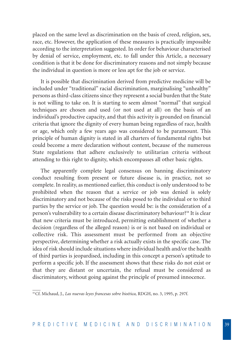placed on the same level as discrimination on the basis of creed, religion, sex, race, etc. However, the application of these measures is practically impossible according to the interpretation suggested. In order for behaviour characterised by denial of service, employment, etc. to fall under this Article, a necessary condition is that it be done for discriminatory reasons and not simply because the individual in question is more or less apt for the job or service.

It is possible that discrimination derived from predictive medicine will be included under "traditional" racial discrimination, marginalising "unhealthy" persons as third-class citizens since they represent a social burden that the State is not willing to take on. It is starting to seem almost "normal" that surgical techniques are chosen and used (or not used at all) on the basis of an individual's productive capacity, and that this activity is grounded on financial criteria that ignore the dignity of every human being regardless of race, health or age, which only a few years ago was considered to be paramount. This principle of human dignity is stated in all charters of fundamental rights but could become a mere declaration without content, because of the numerous State regulations that adhere exclusively to utilitarian criteria without attending to this right to dignity, which encompasses all other basic rights.

The apparently complete legal consensus on banning discriminatory conduct resulting from present or future disease is, in practice, not so complete. In reality, as mentioned earlier, this conduct is only understood to be prohibited when the reason that a service or job was denied is solely discriminatory and not because of the risks posed to the individual or to third parties by the service or job. The question would be: is the consideration of a person's vulnerability to a certain disease discriminatory behaviour?<sup>58</sup> It is clear that new criteria must be introduced, permitting establishment of whether a decision (regardless of the alleged reason) is or is not based on individual or collective risk. This assessment must be performed from an objective perspective, determining whether a risk actually exists in the specific case. The idea of risk should include situations where individual health and/or the health of third parties is jeopardised, including in this concept a person's aptitude to perform a specific job. If the assessment shows that these risks do not exist or that they are distant or uncertain, the refusal must be considered as discriminatory, without going against the principle of presumed innocence.

<sup>58</sup> Cf. Michaud, J., *Las nuevas leyes francesas sobre bioética,* RDGH, no. 3, 1995, p. 297f.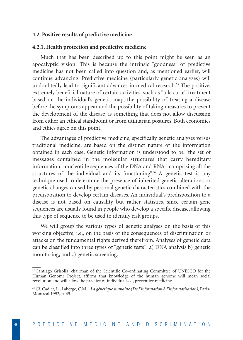# **4.2. Positive results of predictive medicine**

# **4.2.1. Health protection and predictive medicine**

Much that has been described up to this point might be seen as an apocalyptic vision. This is because the intrinsic "goodness" of predictive medicine has not been called into question and, as mentioned earlier, will continue advancing. Predictive medicine (particularly genetic analyses) will undoubtedly lead to significant advances in medical research.<sup>59</sup> The positive, extremely beneficial nature of certain activities, such as "à la carte" treatment based on the individual's genetic map, the possibility of treating a disease before the symptoms appear and the possibility of taking measures to prevent the development of the disease, is something that does not allow discussion from either an ethical standpoint or from utilitarian postures. Both economics and ethics agree on this point.

The advantages of predictive medicine, specifically genetic analyses versus traditional medicine, are based on the distinct nature of the information obtained in each case. Genetic information is understood to be "the set of messages contained in the molecular structures that carry hereditary information –nucleotide sequences of the DNA and RNA– comprising all the structures of the individual and its functioning".<sup>60</sup> A genetic test is any technique used to determine the presence of inherited genetic alterations or genetic changes caused by personal genetic characteristics combined with the predisposition to develop certain diseases. An individual's predisposition to a disease is not based on causality but rather statistics, since certain gene sequences are usually found in people who develop a specific disease, allowing this type of sequence to be used to identify risk groups.

We will group the various types of genetic analyses on the basis of this working objective, i.e., on the basis of the consequences of discrimination or attacks on the fundamental rights derived therefrom. Analyses of genetic data can be classified into three types of "genetic tests": a) DNA analysis b) genetic monitoring, and c) genetic screening.

<sup>59</sup> Santiago Grisolia, chairman of the Scientific Co-ordinating Committee of UNESCO for the Human Genome Project, affirms that knowledge of the human genome will mean social revolution and will allow the practice of individualised, preventive medicine.

<sup>60</sup> Cf. Cadiet, L., Laberge, C.M.., *La génétique humaine (De l'information à l'informatisation)*, Paris-Montreal 1992, p. 45.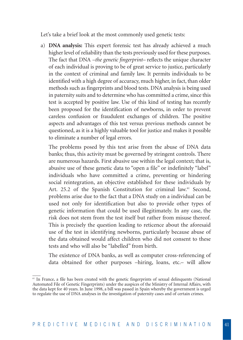Let's take a brief look at the most commonly used genetic tests:

a) **DNA analysis:** This expert forensic test has already achieved a much higher level of reliability than the tests previously used for these purposes. The fact that DNA *–the genetic fingerprint–* reflects the unique character of each individual is proving to be of great service to justice, particularly in the context of criminal and family law. It permits individuals to be identified with a high degree of accuracy, much higher, in fact, than older methods such as fingerprints and blood tests. DNA analysis is being used in paternity suits and to determine who has committed a crime, since this test is accepted by positive law. Use of this kind of testing has recently been proposed for the identification of newborns, in order to prevent careless confusion or fraudulent exchanges of children. The positive aspects and advantages of this test versus previous methods cannot be questioned, as it is a highly valuable tool for justice and makes it possible to eliminate a number of legal errors.

The problems posed by this test arise from the abuse of DNA data banks; thus, this activity must be governed by stringent controls. There are numerous hazards. First abusive use within the legal context; that is, abusive use of these genetic data to "open a file" or indefinitely "label" individuals who have committed a crime, preventing or hindering social reintegration, an objective established for these individuals by Art. 25.2 of the Spanish Constitution for criminal law.<sup>61</sup> Second, problems arise due to the fact that a DNA study on a individual can be used not only for identification but also to provide other types of genetic information that could be used illegitimately. In any case, the risk does not stem from the test itself but rather from misuse thereof. This is precisely the question leading to reticence about the aforesaid use of the test in identifying newborns, particularly because abuse of the data obtained would affect children who did not consent to these tests and who will also be "labelled" from birth.

The existence of DNA banks, as well as computer cross-referencing of data obtained for other purposes –hiring, loans, etc.– will allow

<sup>&</sup>lt;sup>61</sup> In France, a file has been created with the genetic fingerprints of sexual delinquents (National Automated File of Genetic Fingerprints) under the auspices of the Ministry of Internal Affairs, with the data kept for 40 years. In June 1998, a bill was passed in Spain whereby the government is urged to regulate the use of DNA analyses in the investigation of paternity cases and of certain crimes.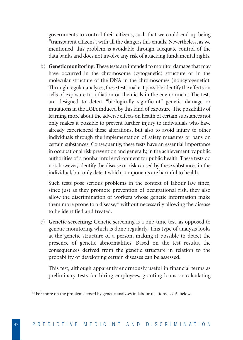governments to control their citizens, such that we could end up being "transparent citizens", with all the dangers this entails. Nevertheless, as we mentioned, this problem is avoidable through adequate control of the data banks and does not involve any risk of attacking fundamental rights.

b) **Genetic monitoring:** These tests are intended to monitor damage that may have occurred in the chromosome (cytogenetic) structure or in the molecular structure of the DNA in the chromosomes (noncytogenetic). Through regular analyses, these tests make it possible identify the effects on cells of exposure to radiation or chemicals in the environment. The tests are designed to detect "biologically significant" genetic damage or mutations in the DNA induced by this kind of exposure. The possibility of learning more about the adverse effects on health of certain substances not only makes it possible to prevent further injury to individuals who have already experienced these alterations, but also to avoid injury to other individuals through the implementation of safety measures or bans on certain substances. Consequently, these tests have an essential importance in occupational risk prevention and generally, in the achievement by public authorities of a nonharmful environment for public health. These tests do not, however, identify the disease or risk caused by these substances in the individual, but only detect which components are harmful to health.

Such tests pose serious problems in the context of labour law since, since just as they promote prevention of occupational risk, they also allow the discrimination of workers whose genetic information make them more prone to a disease, $62$  without necessarily allowing the disease to be identified and treated.

c) **Genetic screening:** Genetic screening is a one-time test, as opposed to genetic monitoring which is done regularly. This type of analysis looks at the genetic structure of a person, making it possible to detect the presence of genetic abnormalities. Based on the test results, the consequences derived from the genetic structure in relation to the probability of developing certain diseases can be assessed.

This test, although apparently enormously useful in financial terms as preliminary tests for hiring employees, granting loans or calculating

<sup>&</sup>lt;sup>62</sup> For more on the problems posed by genetic analyses in labour relations, see 6. below.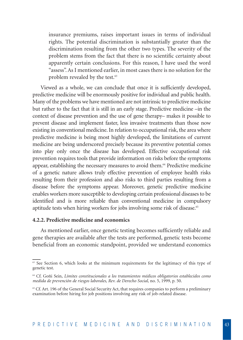insurance premiums, raises important issues in terms of individual rights. The potential discrimination is substantially greater than the discrimination resulting from the other two types. The severity of the problem stems from the fact that there is no scientific certainty about apparently certain conclusions. For this reason, I have used the word "assess". As I mentioned earlier, in most cases there is no solution for the problem revealed by the test.<sup>63</sup>

Viewed as a whole, we can conclude that once it is sufficiently developed, predictive medicine will be enormously positive for individual and public health. Many of the problems we have mentioned are not intrinsic to predictive medicine but rather to the fact that it is still in an early stage. Predictive medicine –in the context of disease prevention and the use of gene therapy– makes it possible to prevent disease and implement faster, less invasive treatments than those now existing in conventional medicine. In relation to occupational risk, the area where predictive medicine is being most highly developed, the limitations of current medicine are being underscored precisely because its preventive potential comes into play only once the disease has developed. Effective occupational risk prevention requires tools that provide information on risks before the symptoms appear, establishing the necessary measures to avoid them.<sup>64</sup> Predictive medicine of a genetic nature allows truly effective prevention of employee health risks resulting from their profession and also risks to third parties resulting from a disease before the symptoms appear. Moreover, genetic predictive medicine enables workers more susceptible to developing certain professional diseases to be identified and is more reliable than conventional medicine in compulsory aptitude tests when hiring workers for jobs involving some risk of disease.<sup>65</sup>

# **4.2.2. Predictive medicine and economics**

As mentioned earlier, once genetic testing becomes sufficiently reliable and gene therapies are available after the tests are performed, genetic tests become beneficial from an economic standpoint, provided we understand economics

 $63$  See Section 6, which looks at the minimum requirements for the legitimacy of this type of genetic test.

<sup>64</sup> Cf. Goñi Sein, *Límites constitucionales a los tratamientos médicos obligatorios establecidos como medida de prevención de riesgos laborales, Rev. de Derecho Social,* no. 5, 1999, p. 50.

 $65$  Cf. Art. 196 of the General Social Security Act, that requires companies to perform a preliminary examination before hiring for job positions involving any risk of job-related disease.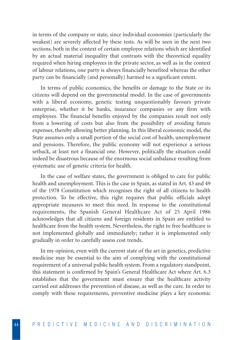in terms of the company or state, since individual economies (particularly the weakest) are severely affected by these tests. As will be seen in the next two sections, both in the context of certain employee relations which are identified by an actual material inequality that contrasts with the theoretical equality required when hiring employees in the private sector, as well as in the context of labour relations, one party is always financially benefited whereas the other party can be financially (and personally) harmed to a significant extent.

In terms of public economics, the benefits or damage to the State or its citizens will depend on the governmental model. In the case of governments with a liberal economy, genetic testing unquestionably favours private enterprise, whether it be banks, insurance companies or any firm with employees. The financial benefits enjoyed by the companies result not only from a lowering of costs but also from the possibility of avoiding future expenses, thereby allowing better planning. In this liberal economic model, the State assumes only a small portion of the social cost of health, unemployment and pensions. Therefore, the public economy will not experience a serious setback, at least not a financial one. However, politically the situation could indeed be disastrous because of the enormous social unbalance resulting from systematic use of genetic criteria for health.

In the case of welfare states, the government is obliged to care for public health and unemployment. This is the case in Spain, as stated in Art. 43 and 49 of the 1978 Constitution which recognises the right of all citizens to health protection. To be effective, this right requires that public officials adopt appropriate measures to meet this need. In response to the constitutional requirements, the Spanish General Healthcare Act of 25 April 1986 acknowledges that all citizens and foreign residents in Spain are entitled to healthcare from the health system. Nevertheless, the right to free healthcare is not implemented globally and immediately; rather it is implemented only gradually in order to carefully assess cost trends.

In my opinion, even with the current state of the art in genetics, predictive medicine may be essential to the aim of complying with the constitutional requirement of a universal public health system. From a regulatory standpoint, this statement is confirmed by Spain's General Healthcare Act where Art. 6.3 establishes that the government must ensure that the healthcare activity carried out addresses the prevention of disease, as well as the cure. In order to comply with these requirements, preventive medicine plays a key economic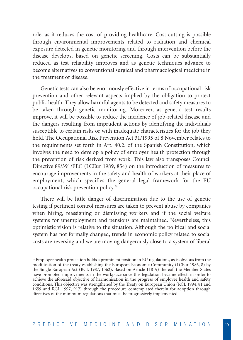role, as it reduces the cost of providing healthcare. Cost-cutting is possible through environmental improvements related to radiation and chemical exposure detected in genetic monitoring and through intervention before the disease develops, based on genetic screening. Costs can be substantially reduced as test reliability improves and as genetic techniques advance to become alternatives to conventional surgical and pharmacological medicine in the treatment of disease.

Genetic tests can also be enormously effective in terms of occupational risk prevention and other relevant aspects implied by the obligation to protect public health. They allow harmful agents to be detected and safety measures to be taken through genetic monitoring. Moreover, as genetic test results improve, it will be possible to reduce the incidence of job-related disease and the dangers resulting from imprudent actions by identifying the individuals susceptible to certain risks or with inadequate characteristics for the job they hold. The Occupational Risk Prevention Act 31/1995 of 8 November relates to the requirements set forth in Art. 40.2. of the Spanish Constitution, which involves the need to develop a policy of employer health protection through the prevention of risk derived from work. This law also transposes Council Directive 89/391/EEC (LCEur 1989, 854) on the introduction of measures to encourage improvements in the safety and health of workers at their place of employment, which specifies the general legal framework for the EU occupational risk prevention policy.<sup>66</sup>

There will be little danger of discrimination due to the use of genetic testing if pertinent control measures are taken to prevent abuse by companies when hiring, reassigning or dismissing workers and if the social welfare systems for unemployment and pensions are maintained. Nevertheless, this optimistic vision is relative to the situation. Although the political and social system has not formally changed, trends in economic policy related to social costs are reversing and we are moving dangerously close to a system of liberal

<sup>&</sup>lt;sup>66</sup> Employee health protection holds a prominent position in EU regulations, as is obvious from the modification of the treaty establishing the European Economic Community (LCEur 1986, 8) by the Single European Act (RCL 1987, 1562). Based on Article 118 A) thereof, the Member States have promoted improvements in the workplace since this legislation became effect, in order to achieve the aforesaid objective of harmonisation in the progress of employee health and safety conditions. This objective was strengthened by the Treaty on European Union (RCL 1994, 81 and 1659 and RCL 1997, 917) through the procedure contemplated therein for adoption through directives of the minimum regulations that must be progressively implemented.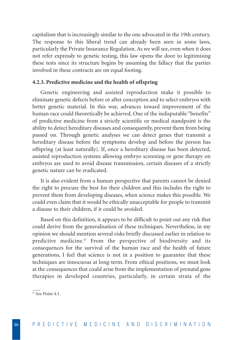capitalism that is increasingly similar to the one advocated in the 19th century. The response to this liberal trend can already been seen in some laws, particularly the Private Insurance Regulation. As we will see, even when it does not refer expressly to genetic testing, this law opens the door to legitimising these tests since its structure begins by assuming the fallacy that the parties involved in these contracts are on equal footing.

# **4.2.3. Predictive medicine and the health of offspring**

Genetic engineering and assisted reproduction make it possible to eliminate genetic defects before or after conception and to select embryos with better genetic material. In this way, advances toward improvement of the human race could theoretically be achieved. One of the indisputable "benefits" of predictive medicine from a strictly scientific or medical standpoint is the ability to detect hereditary diseases and consequently, prevent them from being passed on. Through genetic analyses we can detect genes that transmit a hereditary disease before the symptoms develop and before the person has offspring (at least naturally). If, once a hereditary disease has been detected, assisted reproduction systems allowing embryo screening or gene therapy on embryos are used to avoid disease transmission, certain diseases of a strictly genetic nature can be eradicated.

It is also evident from a human perspective that parents cannot be denied the right to procure the best for their children and this includes the right to prevent them from developing diseases, when science makes this possible. We could even claim that it would be ethically unacceptable for people to transmit a disease to their children, if it could be avoided.

Based on this definition, it appears to be difficult to point out any risk that could derive from the generalisation of these techniques. Nevertheless, in my opinion we should mention several risks briefly discussed earlier in relation to predictive medicine.<sup>67</sup> From the perspective of biodiversity and its consequences for the survival of the human race and the health of future generations, I feel that science is not in a position to guarantee that these techniques are innocuous at long-term. From ethical positions, we must look at the consequences that could arise from the implementation of prenatal gene therapies in developed countries, particularly, in certain strata of the

<sup>67</sup> See Point 4.1.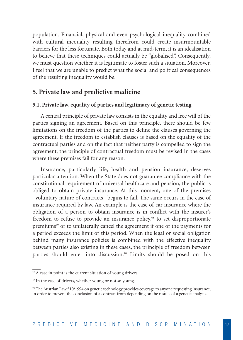population. Financial, physical and even psychological inequality combined with cultural inequality resulting therefrom could create insurmountable barriers for the less fortunate. Both today and at mid-term, it is an idealisation to believe that these techniques could actually be "globalised". Consequently, we must question whether it is legitimate to foster such a situation. Moreover, I feel that we are unable to predict what the social and political consequences of the resulting inequality would be.

# **5. Private law and predictive medicine**

# **5.1. Private law, equality of parties and legitimacy of genetic testing**

A central principle of private law consists in the equality and free will of the parties signing an agreement. Based on this principle, there should be few limitations on the freedom of the parties to define the clauses governing the agreement. If the freedom to establish clauses is based on the equality of the contractual parties and on the fact that neither party is compelled to sign the agreement, the principle of contractual freedom must be revised in the cases where these premises fail for any reason.

Insurance, particularly life, health and pension insurance, deserves particular attention. When the State does not guarantee compliance with the constitutional requirement of universal healthcare and pension, the public is obliged to obtain private insurance. At this moment, one of the premises –voluntary nature of contracts– begins to fail. The same occurs in the case of insurance required by law. An example is the case of car insurance where the obligation of a person to obtain insurance is in conflict with the insurer's freedom to refuse to provide an insurance policy,<sup>68</sup> to set disproportionate premiums<sup>69</sup> or to unilaterally cancel the agreement if one of the payments for a period exceeds the limit of this period. When the legal or social obligation behind many insurance policies is combined with the effective inequality between parties also existing in these cases, the principle of freedom between parties should enter into discussion.<sup>70</sup> Limits should be posed on this

<sup>&</sup>lt;sup>68</sup> A case in point is the current situation of young drivers.

<sup>&</sup>lt;sup>69</sup> In the case of drivers, whether young or not so young.

<sup>70</sup> The Austrian Law 510/1994 on genetic technology provides coverage to anyone requesting insurance, in order to prevent the conclusion of a contract from depending on the results of a genetic analysis.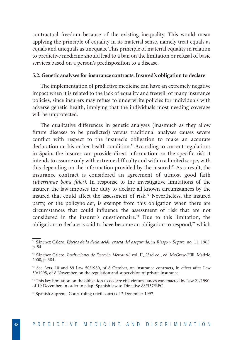contractual freedom because of the existing inequality. This would mean applying the principle of equality in its material sense, namely treat equals as equals and unequals as unequals. This principle of material equality in relation to predictive medicine should lead to a ban on the limitation or refusal of basic services based on a person's predisposition to a disease.

# **5.2. Genetic analyses for insurance contracts. Insured's obligation to declare**

The implementation of predictive medicine can have an extremely negative impact when it is related to the lack of equality and freewill of many insurance policies, since insurers may refuse to underwrite policies for individuals with adverse genetic health, implying that the individuals most needing coverage will be unprotected.

The qualitative differences in genetic analyses (inasmuch as they allow future diseases to be predicted) versus traditional analyses causes severe conflict with respect to the insured's obligation to make an accurate declaration on his or her health condition.<sup>71</sup> According to current regulations in Spain, the insurer can provide direct information on the specific risk it intends to assume only with extreme difficulty and within a limited scope, with this depending on the information provided by the insured.<sup>72</sup> As a result, the insurance contract is considered an agreement of utmost good faith *(uberrimae bona fidei)*. In response to the investigative limitations of the insurer, the law imposes the duty to declare all known circumstances by the insured that could affect the assessment of risk.73 Nevertheless, the insured party, or the policyholder, is exempt from this obligation when there are circumstances that could influence the assessment of risk that are not considered in the insurer's questionnaire.<sup>74</sup> Due to this limitation, the obligation to declare is said to have become an obligation to respond, $75$  which

<sup>71</sup> Sánchez Calero, *Efectos de la declaración exacta del asegurado,* in *Riesgo y Seguro,* no. 11, 1965, p. 54

<sup>72</sup> Sánchez Calero, *Instituciones de Derecho Mercantil,* vol. II, 23rd ed., ed. McGraw-Hill, Madrid 2000, p. 384.

<sup>73</sup> See Arts. 10 and 89 Law 50/1980, of 8 October, on insurance contracts, in effect after Law 30/1995, of 8 November, on the regulation and supervision of private insurance.

<sup>74</sup> This key limitation on the obligation to declare risk circumstances was enacted by Law 21/1990, of 19 December, in order to adapt Spanish law to Directive 88/357/EEC.

<sup>75</sup> Spanish Supreme Court ruling (civil court) of 2 December 1997.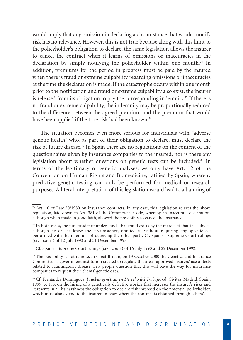would imply that any omission in declaring a circumstance that would modify risk has no relevance. However, this is not true because along with this limit to the policyholder's obligation to declare, the same legislation allows the insurer to cancel the contract when it learns of omissions or inaccuracies in the declaration by simply notifying the policyholder within one month.<sup>76</sup> In addition, premiums for the period in progress must be paid by the insured when there is fraud or extreme culpability regarding omissions or inaccuracies at the time the declaration is made. If the catastrophe occurs within one month prior to the notification and fraud or extreme culpability also exist, the insurer is released from its obligation to pay the corresponding indemnity.<sup>77</sup> If there is no fraud or extreme culpability, the indemnity may be proportionally reduced to the difference between the agreed premium and the premium that would have been applied if the true risk had been known.<sup>78</sup>

The situation becomes even more serious for individuals with "adverse genetic health" who, as part of their obligation to declare, must declare the risk of future disease.79 In Spain there are no regulations on the content of the questionnaires given by insurance companies to the insured, nor is there any legislation about whether questions on genetic tests can be included.<sup>80</sup> In terms of the legitimacy of genetic analyses, we only have Art. 12 of the Convention on Human Rights and Biomedicine, ratified by Spain, whereby predictive genetic testing can only be performed for medical or research purposes. A literal interpretation of this legislation would lead to a banning of

 $76$  Art. 10 of Law 50/1980 on insurance contracts. In any case, this legislation relaxes the above regulation, laid down in Art. 381 of the Commercial Code, whereby an inaccurate declaration, although when made in good faith, allowed the possibility to cancel the insurance.

 $77$  In both cases, the jurisprudence understands that fraud exists by the mere fact that the subject, although he or she knew the circumstance, omitted it, without requiring any specific act performed with the intention of deceiving the other party. Cf. Spanish Supreme Court rulings (civil court) of 12 July 1993 and 31 December 1998.

<sup>78</sup> Cf. Spanish Supreme Court rulings (civil court) of 16 July 1990 and 22 December 1992.

<sup>79</sup> The possibility is not remote. In Great Britain, on 13 October 2000 the Genetics and Insurance Committee –a government institution created to regulate this area– approved insurers' use of tests related to Huntington's disease. Few people question that this will pave the way for insurance companies to request their clients' genetic data.

<sup>80</sup> Cf. Fernández Domínguez, *Pruebas genéticas en Derecho del Trabajo,* ed. Civitas, Madrid, Spain, 1999, p. 103, on the hiring of a genetically defective worker that increases the insurer's risks and "presents in all its harshness the obligation to declare risk imposed on the potential policyholder, which must also extend to the insured in cases where the contract is obtained through others".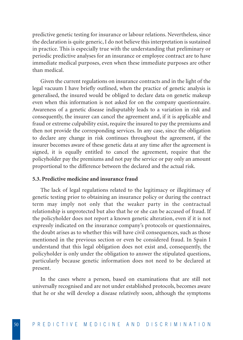predictive genetic testing for insurance or labour relations. Nevertheless, since the declaration is quite generic, I do not believe this interpretation is sustained in practice. This is especially true with the understanding that preliminary or periodic predictive analyses for an insurance or employee contract are to have immediate medical purposes, even when these immediate purposes are other than medical.

Given the current regulations on insurance contracts and in the light of the legal vacuum I have briefly outlined, when the practice of genetic analysis is generalised, the insured would be obliged to declare data on genetic makeup even when this information is not asked for on the company questionnaire. Awareness of a genetic disease indisputably leads to a variation in risk and consequently, the insurer can cancel the agreement and, if it is applicable and fraud or extreme culpability exist, require the insured to pay the premiums and then not provide the corresponding services. In any case, since the obligation to declare any change in risk continues throughout the agreement, if the insurer becomes aware of these genetic data at any time after the agreement is signed, it is equally entitled to cancel the agreement, require that the policyholder pay the premiums and not pay the service or pay only an amount proportional to the difference between the declared and the actual risk.

# **5.3. Predictive medicine and insurance fraud**

50

The lack of legal regulations related to the legitimacy or illegitimacy of genetic testing prior to obtaining an insurance policy or during the contract term may imply not only that the weaker party in the contractual relationship is unprotected but also that he or she can be accused of fraud. If the policyholder does not report a known genetic alteration, even if it is not expressly indicated on the insurance company's protocols or questionnaires, the doubt arises as to whether this will have civil consequences, such as those mentioned in the previous section or even be considered fraud. In Spain I understand that this legal obligation does not exist and, consequently, the policyholder is only under the obligation to answer the stipulated questions, particularly because genetic information does not need to be declared at present.

In the cases where a person, based on examinations that are still not universally recognised and are not under established protocols, becomes aware that he or she will develop a disease relatively soon, although the symptoms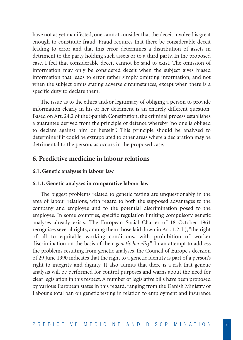have not as yet manifested, one cannot consider that the deceit involved is great enough to constitute fraud. Fraud requires that there be considerable deceit leading to error and that this error determines a distribution of assets in detriment to the party holding such assets or to a third party. In the proposed case, I feel that considerable deceit cannot be said to exist. The omission of information may only be considered deceit when the subject gives biased information that leads to error rather simply omitting information, and not when the subject omits stating adverse circumstances, except when there is a specific duty to declare them.

The issue as to the ethics and/or legitimacy of obliging a person to provide information clearly in his or her detriment is an entirely different question. Based on Art. 24.2 of the Spanish Constitution, the criminal process establishes a guarantee derived from the principle of defence whereby "no one is obliged to declare against him or herself". This principle should be analysed to determine if it could be extrapolated to other areas where a declaration may be detrimental to the person, as occurs in the proposed case.

# **6. Predictive medicine in labour relations**

# **6.1. Genetic analyses in labour law**

# **6.1.1. Genetic analyses in comparative labour law**

The biggest problems related to genetic testing are unquestionably in the area of labour relations, with regard to both the supposed advantages to the company and employee and to the potential discrimination posed to the employee. In some countries, specific regulation limiting compulsory genetic analyses already exists. The European Social Charter of 18 October 1961 recognises several rights, among them those laid down in Art. 1.2. b), "the right of all to equitable working conditions, with prohibition of worker discrimination on the basis of their *genetic heredity*". In an attempt to address the problems resulting from genetic analyses, the Council of Europe's decision of 29 June 1990 indicates that the right to a genetic identity is part of a person's right to integrity and dignity. It also admits that there is a risk that genetic analysis will be performed for control purposes and warns about the need for clear legislation in this respect. A number of legislative bills have been proposed by various European states in this regard, ranging from the Danish Ministry of Labour's total ban on genetic testing in relation to employment and insurance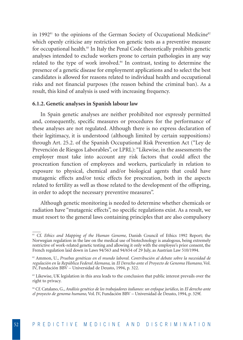in 1992 $81$  to the opinions of the German Society of Occupational Medicine $82$ which openly criticise any restriction on genetic tests as a preventive measure for occupational health.<sup>83</sup> In Italy the Penal Code theoretically prohibits genetic analyses intended to exclude workers prone to certain pathologies in any way related to the type of work involved.84 In contrast, testing to determine the presence of a genetic disease for employment applications and to select the best candidates is allowed for reasons related to individual health and occupational risks and not financial purposes (the reason behind the criminal ban). As a result, this kind of analysis is used with increasing frequency.

# **6.1.2. Genetic analyses in Spanish labour law**

In Spain genetic analyses are neither prohibited nor expressly permitted and, consequently, specific measures or procedures for the performance of these analyses are not regulated. Although there is no express declaration of their legitimacy, it is understood (although limited by certain suppositions) through Art. 25.2. of the Spanish Occupational Risk Prevention Act ("Ley de Prevención de Riesgos Laborables", or LPRL): "Likewise, in the assessments the employer must take into account any risk factors that could affect the procreation function of employees and workers, particularly in relation to exposure to physical, chemical and/or biological agents that could have mutagenic effects and/or toxic effects for procreation, both in the aspects related to fertility as well as those related to the development of the offspring, in order to adopt the necessary preventive measures".

Although genetic monitoring is needed to determine whether chemicals or radiation have "mutagenic effects", no specific regulations exist. As a result, we must resort to the general laws containing principles that are also compulsory

<sup>81</sup> Cf. *Ethics and Mapping of the Human Genome,* Danish Council of Ethics 1992 Report; the Norwegian regulation in the law on the medical use of biotechnology is analogous, being extremely restrictive of work-related genetic testing and allowing it only with the employee's prior consent, the French regulation laid down in Laws 94/563 and 94/654 of 29 July, as Austrian Law 510/1994.

<sup>82</sup> Ammon, U., *Pruebas genéticas en el mundo laboral. Contribución al debate sobre la necesidad de regulación en la República Federal Alemana,* in *El Derecho ante el Proyecto de Genoma Humano,* Vol. IV, Fundación BBV – Universidad de Deusto, 1994, p. 322.

<sup>&</sup>lt;sup>83</sup> Likewise, UK legislation in this area leads to the conclusion that public interest prevails over the right to privacy.

<sup>84</sup> Cf. Catalano, G., *Análisis genético de los trabajadores italianos: un enfoque jurídico,* in *El derecho ante el proyecto de genoma humano,* Vol. IV, Fundación BBV – Universidad de Deusto, 1994, p. 329f.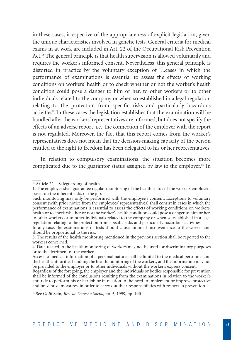in these cases, irrespective of the appropriateness of explicit legislation, given the unique characteristics involved in genetic tests. General criteria for medical exams in at work are included in Art. 22 of the Occupational Risk Prevention Act.<sup>85</sup> The general principle is that health supervision is allowed voluntarily and requires the worker's informed consent. Nevertheless, this general principle is distorted in practice by the voluntary exception of "...cases in which the performance of examinations is essential to assess the effects of working conditions on workers' health or to check whether or not the worker's health condition could pose a danger to him or her, to other workers or to other individuals related to the company or when so established in a legal regulation relating to the protection from specific risks and particularly hazardous activities". In these cases the legislation establishes that the examination will be handled after the workers' representatives are informed, but does not specify the effects of an adverse report, i.e., the connection of the employer with the report is not regulated. Moreover, the fact that this report comes from the worker's representatives does not mean that the decision-making capacity of the person entitled to the right to freedom has been delegated to his or her representatives.

In relation to compulsory examinations, the situation becomes more complicated due to the guarantor status assigned by law to the employer.<sup>86</sup> In

<sup>86</sup> See Goñi Sein, *Rev. de Derecho Social,* no. 5, 1999, pp. 49ff.

<sup>85</sup> Article 22. - Safeguarding of health

<sup>1.</sup> The employer shall guarantee regular monitoring of the health status of the workers employed, based on the inherent risks of the job.

Such monitoring may only be performed with the employee's consent. Exceptions to voluntary consent (with prior notice from the employees' representatives) shall consist in cases in which the performance of examinations is essential to assess the effects of working conditions on workers' health or to check whether or not the worker's health condition could pose a danger to him or her, to other workers or to other individuals related to the company or when so established in a legal regulation relating to the protection from specific risks and particularly hazardous activities.

In any case, the examinations or tests should cause minimal inconvenience to the worker and should be proportional to the risk.

<sup>3.</sup> The results of the health monitoring mentioned in the previous section shall be reported to the workers concerned.

<sup>4.</sup> Data related to the health monitoring of workers may not be used for discriminatory purposes or to the detriment of the worker.

Access to medical information of a personal nature shall be limited to the medical personnel and the health authorities handling the health monitoring of the workers, and the information may not be provided to the employer or to other individuals without the worker's express consent.

Regardless of the foregoing, the employer and the individuals or bodies responsible for prevention shall be informed of the conclusions resulting from the examinations in relation to the worker's aptitude to perform his or her job or in relation to the need to implement or improve protective and preventive measures, in order to carry out their responsibilities with respect to prevention.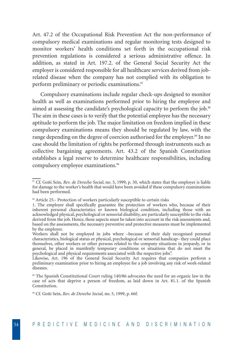Art. 47.2 of the Occupational Risk Prevention Act the non-performance of compulsory medical examinations and regular monitoring tests designed to monitor workers' health conditions set forth in the occupational risk prevention regulations is considered a serious administrative offence. In addition, as stated in Art. 197.2. of the General Social Security Act the employer is considered responsible for all healthcare services derived from jobrelated disease when the company has not complied with its obligation to perform preliminary or periodic examinations.<sup>87</sup>

Compulsory examinations include regular check-ups designed to monitor health as well as examinations performed prior to hiring the employee and aimed at assessing the candidate's psychological capacity to perform the job.<sup>88</sup> The aim in these cases is to verify that the potential employee has the necessary aptitude to perform the job. The major limitation on freedom implied in these compulsory examinations means they should be regulated by law, with the range depending on the degree of coercion authorised for the employer.<sup>89</sup> In no case should the limitation of rights be performed through instruments such as collective bargaining agreements. Art. 43.2 of the Spanish Constitution establishes a legal reserve to determine healthcare responsibilities, including compulsory employee examinations.<sup>90</sup>

<sup>87</sup> Cf. Goñi Sein, *Rev. de Derecho Social,* no. 5, 1999, p. 50, which states that the employer is liable for damage to the worker's health that would have been avoided if these compulsory examinations had been performed.

<sup>&</sup>lt;sup>88</sup> Article 25.- Protection of workers particularly susceptible to certain risks

<sup>1.</sup> The employer shall specifically guarantee the protection of workers who, because of their inherent personal characteristics or known biological condition, including those with an acknowledged physical, psychological or sensorial disability, are particularly susceptible to the risks derived from the job. Hence, these aspects must be taken into account in the risk assessments and, based on the assessments, the necessary preventive and protective measures must be implemented by the employer.

Workers shall not be employed in jobs where –because of their duly recognised personal characteristics, biological status or physical, psychological or sensorial handicap– they could place themselves, other workers or other persons related to the company situations in jeopardy, or in general, be placed in manifestly temporary conditions or situations that do not meet the psychological and physical requirements associated with the respective jobs".

Likewise, Art. 196 of the General Social Security Act requires that companies perform a preliminary examination prior to hiring an employee for a job involving any risk of work-related diseases.

<sup>89</sup> The Spanish Constitutional Court ruling 140/86 advocates the need for an organic law in the case of acts that deprive a person of freedom, as laid down in Art. 81.1. of the Spanish Constitution.

<sup>90</sup> Cf. Goñi Sein, *Rev. de Derecho Social,* no. 5, 1999, p. 66f.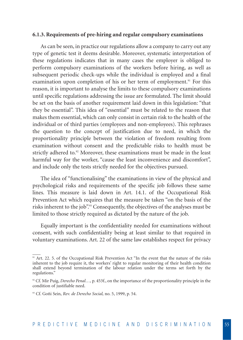# **6.1.3. Requirements of pre-hiring and regular compulsory examinations**

As can be seen, in practice our regulations allow a company to carry out any type of genetic test it deems desirable. Moreover, systematic interpretation of these regulations indicates that in many cases the employer is obliged to perform compulsory examinations of the workers before hiring, as well as subsequent periodic check-ups while the individual is employed and a final examination upon completion of his or her term of employment.<sup>91</sup> For this reason, it is important to analyse the limits to these compulsory examinations until specific regulations addressing the issue are formulated. The limit should be set on the basis of another requirement laid down in this legislation: "that they be essential". This idea of "essential" must be related to the reason that makes them essential, which can only consist in certain risk to the health of the individual or of third parties (employees and non-employees). This rephrases the question to the concept of justification due to need, in which the proportionality principle between the violation of freedom resulting from examination without consent and the predictable risks to health must be strictly adhered to. $92$  Moreover, these examinations must be made in the least harmful way for the worker, "cause the least inconvenience and discomfort", and include only the tests strictly needed for the objectives pursued.

The idea of "functionalising" the examinations in view of the physical and psychological risks and requirements of the specific job follows these same lines. This measure is laid down in Art. 14.1. of the Occupational Risk Prevention Act which requires that the measure be taken "on the basis of the risks inherent to the job".<sup>93</sup> Consequently, the objectives of the analyses must be limited to those strictly required as dictated by the nature of the job.

Equally important is the confidentiality needed for examinations without consent, with such confidentiality being at least similar to that required in voluntary examinations. Art. 22 of the same law establishes respect for privacy

<sup>91</sup> Art. 22. 5. of the Occupational Risk Prevention Act "In the event that the nature of the risks inherent to the job require it, the workers' right to regular monitoring of their health condition shall extend beyond termination of the labour relation under the terms set forth by the regulations."

<sup>92</sup> Cf. Mir Puig, *Derecho Penal…,* p. 453f., on the importance of the proportionality principle in the condition of justifiable need.

<sup>93</sup> Cf. Goñi Sein, *Rev. de Derecho Social,* no. 5, 1999, p. 54.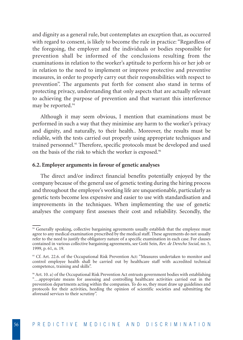and dignity as a general rule, but contemplates an exception that, as occurred with regard to consent, is likely to become the rule in practice: "Regardless of the foregoing, the employer and the individuals or bodies responsible for prevention shall be informed of the conclusions resulting from the examinations in relation to the worker's aptitude to perform his or her job or in relation to the need to implement or improve protective and preventive measures, in order to properly carry out their responsibilities with respect to prevention". The arguments put forth for consent also stand in terms of protecting privacy, understanding that only aspects that are actually relevant to achieving the purpose of prevention and that warrant this interference may be reported.<sup>94</sup>

Although it may seem obvious, I mention that examinations must be performed in such a way that they minimise any harm to the worker's privacy and dignity, and naturally, to their health.. Moreover, the results must be reliable, with the tests carried out properly using appropriate techniques and trained personnel.<sup>95</sup> Therefore, specific protocols must be developed and used on the basis of the risk to which the worker is exposed.<sup>96</sup>

# **6.2. Employer arguments in favour of genetic analyses**

The direct and/or indirect financial benefits potentially enjoyed by the company because of the general use of genetic testing during the hiring process and throughout the employee's working life are unquestionable, particularly as genetic tests become less expensive and easier to use with standardisation and improvements in the techniques. When implementing the use of genetic analyses the company first assesses their cost and reliability. Secondly, the

<sup>94</sup> Generally speaking, collective bargaining agreements usually establish that the employee must agree to any medical examination prescribed by the medical staff. These agreements do not usually refer to the need to justify the obligatory nature of a specific examination in each case. For clauses contained in various collective bargaining agreements, see Goñi Sein, *Rev. de Derecho Social,* no. 5, 1999, p. 61, n. 19.

<sup>&</sup>lt;sup>95</sup> Cf. Art. 22.6. of the Occupational Risk Prevention Act: "Measures undertaken to monitor and control employee health shall be carried out by healthcare staff with accredited technical competence, training and skills".

<sup>&</sup>lt;sup>96</sup> Art. 10. a) of the Occupational Risk Prevention Act entrusts government bodies with establishing "…appropriate means for assessing and controlling healthcare activities carried out in the prevention departments acting within the companies. To do so, they must draw up guidelines and protocols for their activities, heeding the opinion of scientific societies and submitting the aforesaid services to their scrutiny".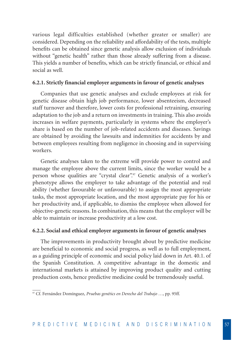various legal difficulties established (whether greater or smaller) are considered. Depending on the reliability and affordability of the tests, multiple benefits can be obtained since genetic analysis allow exclusion of individuals without "genetic health" rather than those already suffering from a disease. This yields a number of benefits, which can be strictly financial, or ethical and social as well.

# **6.2.1. Strictly financial employer arguments in favour of genetic analyses**

Companies that use genetic analyses and exclude employees at risk for genetic disease obtain high job performance, lower absenteeism, decreased staff turnover and therefore, lower costs for professional retraining, ensuring adaptation to the job and a return on investments in training. This also avoids increases in welfare payments, particularly in systems where the employer's share is based on the number of job-related accidents and diseases. Savings are obtained by avoiding the lawsuits and indemnities for accidents by and between employees resulting from negligence in choosing and in supervising workers.

Genetic analyses taken to the extreme will provide power to control and manage the employee above the current limits, since the worker would be a person whose qualities are "crystal clear".<sup>97</sup> Genetic analysis of a worker's phenotype allows the employer to take advantage of the potential and real ability (whether favourable or unfavourable) to assign the most appropriate tasks, the most appropriate location, and the most appropriate pay for his or her productivity and, if applicable, to dismiss the employee when allowed for objective-genetic reasons. In combination, this means that the employer will be able to maintain or increase productivity at a low cost.

# **6.2.2. Social and ethical employer arguments in favour of genetic analyses**

The improvements in productivity brought about by predictive medicine are beneficial to economic and social progress, as well as to full employment, as a guiding principle of economic and social policy laid down in Art. 40.1. of the Spanish Constitution. A competitive advantage in the domestic and international markets is attained by improving product quality and cutting production costs, hence predictive medicine could be tremendously useful.

<sup>97</sup> Cf. Fernández Domínguez, *Pruebas genétics en Derecho del Trabajo …,* pp. 95ff.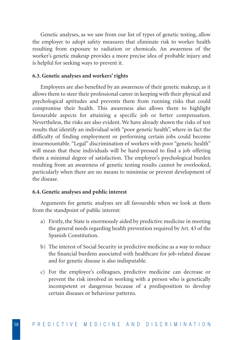Genetic analyses, as we saw from our list of types of genetic testing, allow the employer to adopt safety measures that eliminate risk to worker health resulting from exposure to radiation or chemicals. An awareness of the worker's genetic makeup provides a more precise idea of probable injury and is helpful for seeking ways to prevent it.

# **6.3. Genetic analyses and workers' rights**

Employees are also benefited by an awareness of their genetic makeup, as it allows them to steer their professional career in keeping with their physical and psychological aptitudes and prevents them from running risks that could compromise their health. This awareness also allows them to highlight favourable aspects for attaining a specific job or better compensation. Nevertheless, the risks are also evident. We have already shown the risks of test results that identify an individual with "poor genetic health", where in fact the difficulty of finding employment or performing certain jobs could become insurmountable. "Legal" discrimination of workers with poor "genetic health" will mean that these individuals will be hard-pressed to find a job offering them a minimal degree of satisfaction. The employee's psychological burden resulting from an awareness of genetic testing results cannot be overlooked, particularly when there are no means to minimise or prevent development of the disease.

#### **6.4. Genetic analyses and public interest**

Arguments for genetic analyses are all favourable when we look at them from the standpoint of public interest:

- a) Firstly, the State is enormously aided by predictive medicine in meeting the general needs regarding health prevention required by Art. 43 of the Spanish Constitution.
- b) The interest of Social Security in predictive medicine as a way to reduce the financial burdens associated with healthcare for job-related disease and for genetic disease is also indisputable.
- c) For the employee's colleagues, predictive medicine can decrease or prevent the risk involved in working with a person who is genetically incompetent or dangerous because of a predisposition to develop certain diseases or behaviour patterns.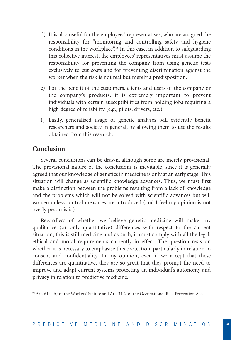- d) It is also useful for the employees' representatives, who are assigned the responsibility for "monitoring and controlling safety and hygiene conditions in the workplace".<sup>98</sup> In this case, in addition to safeguarding this collective interest, the employees' representatives must assume the responsibility for preventing the company from using genetic tests exclusively to cut costs and for preventing discrimination against the worker when the risk is not real but merely a predisposition.
- e) For the benefit of the customers, clients and users of the company or the company's products, it is extremely important to prevent individuals with certain susceptibilities from holding jobs requiring a high degree of reliability (e.g., pilots, drivers, etc.).
- f) Lastly, generalised usage of genetic analyses will evidently benefit researchers and society in general, by allowing them to use the results obtained from this research.

# **Conclusion**

Several conclusions can be drawn, although some are merely provisional. The provisional nature of the conclusions is inevitable, since it is generally agreed that our knowledge of genetics in medicine is only at an early stage. This situation will change as scientific knowledge advances. Thus, we must first make a distinction between the problems resulting from a lack of knowledge and the problems which will not be solved with scientific advances but will worsen unless control measures are introduced (and I feel my opinion is not overly pessimistic).

Regardless of whether we believe genetic medicine will make any qualitative (or only quantitative) differences with respect to the current situation, this is still medicine and as such, it must comply with all the legal, ethical and moral requirements currently in effect. The question rests on whether it is necessary to emphasise this protection, particularly in relation to consent and confidentiality. In my opinion, even if we accept that these differences are quantitative, they are so great that they prompt the need to improve and adapt current systems protecting an individual's autonomy and privacy in relation to predictive medicine.

<sup>98</sup> Art. 64.9. b) of the Workers' Statute and Art. 34.2. of the Occupational Risk Prevention Act.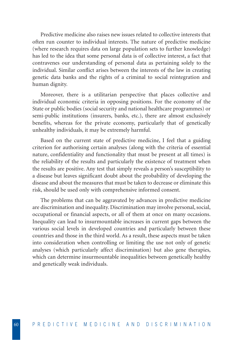Predictive medicine also raises new issues related to collective interests that often run counter to individual interests. The nature of predictive medicine (where research requires data on large population sets to further knowledge) has led to the idea that some personal data is of collective interest, a fact that contravenes our understanding of personal data as pertaining solely to the individual. Similar conflict arises between the interests of the law in creating genetic data banks and the rights of a criminal to social reintegration and human dignity.

Moreover, there is a utilitarian perspective that places collective and individual economic criteria in opposing positions. For the economy of the State or public bodies (social security and national healthcare programmes) or semi-public institutions (insurers, banks, etc.), there are almost exclusively benefits, whereas for the private economy, particularly that of genetically unhealthy individuals, it may be extremely harmful.

Based on the current state of predictive medicine, I feel that a guiding criterion for authorising certain analyses (along with the criteria of essential nature, confidentiality and functionality that must be present at all times) is the reliability of the results and particularly the existence of treatment when the results are positive. Any test that simply reveals a person's susceptibility to a disease but leaves significant doubt about the probability of developing the disease and about the measures that must be taken to decrease or eliminate this risk, should be used only with comprehensive informed consent.

The problems that can be aggravated by advances in predictive medicine are discrimination and inequality. Discrimination may involve personal, social, occupational or financial aspects, or all of them at once on many occasions. Inequality can lead to insurmountable increases in current gaps between the various social levels in developed countries and particularly between these countries and those in the third world. As a result, these aspects must be taken into consideration when controlling or limiting the use not only of genetic analyses (which particularly affect discrimination) but also gene therapies, which can determine insurmountable inequalities between genetically healthy and genetically weak individuals.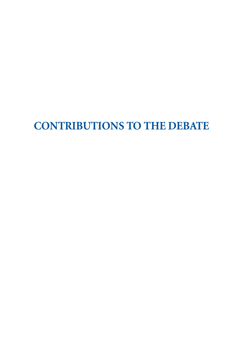# **CONTRIBUTIONS TO THE DEBATE**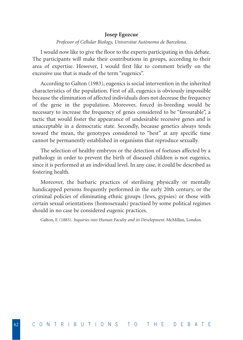### **Josep Egozcue**

*Professor of Cellular Biology, Universitat Autònoma de Barcelona.*

I would now like to give the floor to the experts participating in this debate. The participants will make their contributions in groups, according to their area of expertise. However, I would first like to comment briefly on the excessive use that is made of the term "eugenics".

According to Galton (1983), eugenics is social intervention in the inherited characteristics of the population. First of all, eugenics is obviously impossible because the elimination of affected individuals does not decrease the frequency of the gene in the population. Moreover, forced in-breeding would be necessary to increase the frequency of genes considered to be "favourable", a tactic that would foster the appearance of undesirable recessive genes and is unacceptable in a democratic state. Secondly, because genetics always tends toward the mean, the genotypes considered to "best" at any specific time cannot be permanently established in organisms that reproduce sexually.

The selection of healthy embryos or the detection of foetuses affected by a pathology in order to prevent the birth of diseased children is not eugenics, since it is performed at an individual level. In any case, it could be described as fostering health.

Moreover, the barbaric practices of sterilising physically or mentally handicapped persons frequently performed in the early 20th century, or the criminal policies of eliminating ethnic groups (Jews, gypsies) or those with certain sexual orientations (homosexuals) practised by some political regimes should in no case be considered eugenic practices.

Galton, F. (1883). *Inquiries into Human Faculty and its Development.* McMillan, London.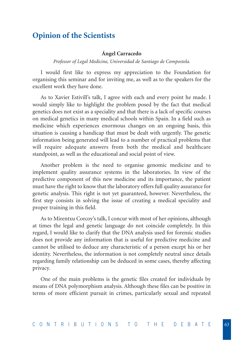# **Opinion of the Scientists**

#### **Ángel Carracedo**

*Professor of Legal Medicine, Universidad de Santiago de Compostela.*

I would first like to express my appreciation to the Foundation for organising this seminar and for inviting me, as well as to the speakers for the excellent work they have done.

As to Xavier Estivill's talk, I agree with each and every point he made. I would simply like to highlight the problem posed by the fact that medical genetics does not exist as a speciality and that there is a lack of specific courses on medical genetics in many medical schools within Spain. In a field such as medicine which experiences enormous changes on an ongoing basis, this situation is causing a handicap that must be dealt with urgently. The genetic information being generated will lead to a number of practical problems that will require adequate answers from both the medical and healthcare standpoint, as well as the educational and social point of view.

Another problem is the need to organise genomic medicine and to implement quality assurance systems in the laboratories. In view of the predictive component of this new medicine and its importance, the patient must have the right to know that the laboratory offers full quality assurance for genetic analysis. This right is not yet guaranteed, however. Nevertheless, the first step consists in solving the issue of creating a medical speciality and proper training in this field.

As to Mirentxu Corcoy's talk, I concur with most of her opinions, although at times the legal and genetic language do not coincide completely. In this regard, I would like to clarify that the DNA analysis used for forensic studies does not provide any information that is useful for predictive medicine and cannot be utilised to deduce any characteristic of a person except his or her identity. Nevertheless, the information is not completely neutral since details regarding family relationship can be deduced in some cases, thereby affecting privacy.

One of the main problems is the genetic files created for individuals by means of DNA polymorphism analysis. Although these files can be positive in terms of more efficient pursuit in crimes, particularly sexual and repeated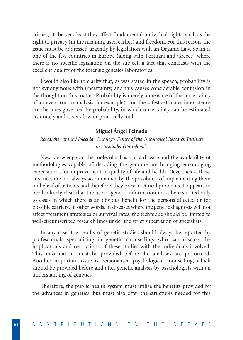crimes, at the very least they affect fundamental individual rights, such as the right to privacy (in the meaning used earlier) and freedom. For this reason, the issue must be addressed urgently by legislation with an Organic Law. Spain is one of the few countries in Europe (along with Portugal and Greece) where there is no specific legislation on the subject, a fact that contrasts with the excellent quality of the forensic genetics laboratories.

I would also like to clarify that, as was stated in the speech, probability is not synonymous with uncertainty, and this causes considerable confusion in the thought on this matter. Probability is merely a measure of the uncertainty of an event (or an analysis, for example), and the safest estimates in existence are the ones governed by probability, in which uncertainty can be estimated accurately and is very low or practically null.

# **Miguel Ángel Peinado**

*Researcher at the Molecular Oncology Centre of the Oncological Research Institute in Hospitalet (Barcelona).*

New knowledge on the molecular basis of a disease and the availability of methodologies capable of decoding the genome are bringing encouraging expectations for improvement in quality of life and health. Nevertheless these advances are not always accompanied by the possibility of implementing them on behalf of patients and therefore, they present ethical problems. It appears to be absolutely clear that the use of genetic information must be restricted only to cases in which there is an obvious benefit for the persons affected or for possible carriers. In other words, in diseases where the genetic diagnosis will not affect treatment strategies or survival rates, the technique should be limited to well-circumscribed research lines under the strict supervision of specialists.

In any case, the results of genetic studies should always be reported by professionals specialising in genetic counselling, who can discuss the implications and restrictions of these studies with the individuals involved. This information must be provided before the analyses are performed. Another important issue is personalised psychological counselling, which should be provided before and after genetic analysis by psychologists with an understanding of genetics.

Therefore, the public health system must utilise the benefits provided by the advances in genetics, but must also offer the structures needed for this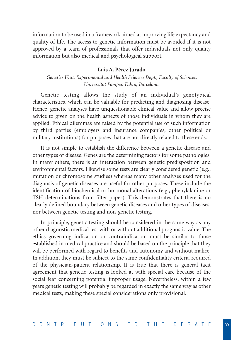information to be used in a framework aimed at improving life expectancy and quality of life. The access to genetic information must be avoided if it is not approved by a team of professionals that offer individuals not only quality information but also medical and psychological support.

#### **Luis A. Pérez Jurado**

*Genetics Unit, Experimental and Health Sciences Dept., Faculty of Sciences, Universitat Pompeu Fabra, Barcelona.*

Genetic testing allows the study of an individual's genotypical characteristics, which can be valuable for predicting and diagnosing disease. Hence, genetic analyses have unquestionable clinical value and allow precise advice to given on the health aspects of those individuals in whom they are applied. Ethical dilemmas are raised by the potential use of such information by third parties (employers and insurance companies, other political or military institutions) for purposes that are not directly related to these ends.

It is not simple to establish the difference between a genetic disease and other types of disease. Genes are the determining factors for some pathologies. In many others, there is an interaction between genetic predisposition and environmental factors. Likewise some tests are clearly considered genetic (e.g., mutation or chromosome studies) whereas many other analyses used for the diagnosis of genetic diseases are useful for other purposes. These include the identification of biochemical or hormonal alterations (e.g., phenylalanine or TSH determinations from filter paper). This demonstrates that there is no clearly defined boundary between genetic diseases and other types of diseases, nor between genetic testing and non-genetic testing.

In principle, genetic testing should be considered in the same way as any other diagnostic medical test with or without additional prognostic value. The ethics governing indication or contraindication must be similar to those established in medical practice and should be based on the principle that they will be performed with regard to benefits and autonomy and without malice. In addition, they must be subject to the same confidentiality criteria required of the physician-patient relationship. It is true that there is general tacit agreement that genetic testing is looked at with special care because of the social fear concerning potential improper usage. Nevertheless, within a few years genetic testing will probably be regarded in exactly the same way as other medical tests, making these special considerations only provisional.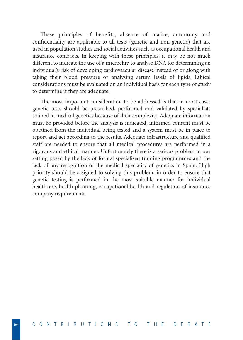These principles of benefits, absence of malice, autonomy and confidentiality are applicable to all tests (genetic and non-genetic) that are used in population studies and social activities such as occupational health and insurance contracts. In keeping with these principles, it may be not much different to indicate the use of a microchip to analyse DNA for determining an individual's risk of developing cardiovascular disease instead of or along with taking their blood pressure or analysing serum levels of lipids. Ethical considerations must be evaluated on an individual basis for each type of study to determine if they are adequate.

The most important consideration to be addressed is that in most cases genetic tests should be prescribed, performed and validated by specialists trained in medical genetics because of their complexity. Adequate information must be provided before the analysis is indicated, informed consent must be obtained from the individual being tested and a system must be in place to report and act according to the results. Adequate infrastructure and qualified staff are needed to ensure that all medical procedures are performed in a rigorous and ethical manner. Unfortunately there is a serious problem in our setting posed by the lack of formal specialised training programmes and the lack of any recognition of the medical speciality of genetics in Spain. High priority should be assigned to solving this problem, in order to ensure that genetic testing is performed in the most suitable manner for individual healthcare, health planning, occupational health and regulation of insurance company requirements.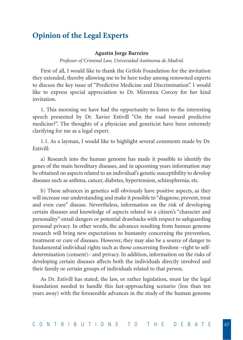# **Opinion of the Legal Experts**

#### **Agustín Jorge Barreiro**

*Professor of Criminal Law, Universidad Autónoma de Madrid.*

First of all, I would like to thank the Grífols Foundation for the invitation they extended, thereby allowing me to be here today among renowned experts to discuss the key issue of "Predictive Medicine and Discrimination". I would like to express special appreciation to Dr. Mirentxu Corcoy for her kind invitation.

1. This morning we have had the opportunity to listen to the interesting speech presented by Dr. Xavier Estivill "On the road toward predictive medicine?". The thoughts of a physician and geneticist have been extremely clarifying for me as a legal expert.

1.1. As a layman, I would like to highlight several comments made by Dr. Estivill:

a) Research into the human genome has made it possible to identify the genes of the main hereditary diseases, and in upcoming years information may be obtained on aspects related to an individual's genetic susceptibility to develop diseases such as asthma, cancer, diabetes, hypertension, schizophrenia, etc.

b) These advances in genetics will obviously have positive aspects, as they will increase our understanding and make it possible to "diagnose, prevent, treat and even cure" disease. Nevertheless, information on the risk of developing certain diseases and knowledge of aspects related to a citizen's "character and personality" entail dangers or potential drawbacks with respect to safeguarding personal privacy. In other words, the advances resulting from human genome research will bring new expectations to humanity concerning the prevention, treatment or cure of diseases. However, they may also be a source of danger to fundamental individual rights such as those concerning freedom –right to selfdetermination (consent)– and privacy. In addition, information on the risks of developing certain diseases affects both the individuals directly involved and their family or certain groups of individuals related to that person.

As Dr. Estivill has stated, the law, or rather legislation, must lay the legal foundation needed to handle this fast-approaching scenario (less than ten years away) with the foreseeable advances in the study of the human genome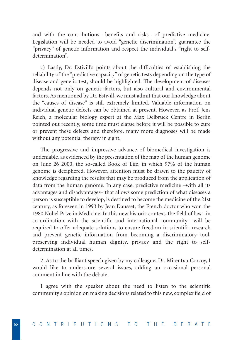and with the contributions –benefits and risks– of predictive medicine. Legislation will be needed to avoid "genetic discrimination", guarantee the "privacy" of genetic information and respect the individual's "right to selfdetermination".

c) Lastly, Dr. Estivill's points about the difficulties of establishing the reliability of the "predictive capacity" of genetic tests depending on the type of disease and genetic test, should be highlighted. The development of diseases depends not only on genetic factors, but also cultural and environmental factors. As mentioned by Dr. Estivill, we must admit that our knowledge about the "causes of disease" is still extremely limited. Valuable information on individual genetic defects can be obtained at present. However, as Prof. Jens Reich, a molecular biology expert at the Max Delbrück Centre in Berlin pointed out recently, some time must elapse before it will be possible to cure or prevent these defects and therefore, many more diagnoses will be made without any potential therapy in sight.

The progressive and impressive advance of biomedical investigation is undeniable, as evidenced by the presentation of the map of the human genome on June 26 2000, the so-called Book of Life, in which 97% of the human genome is deciphered. However, attention must be drawn to the paucity of knowledge regarding the results that may be produced from the application of data from the human genome. In any case, predictive medicine –with all its advantages and disadvantages– that allows some prediction of what diseases a person is susceptible to develop, is destined to become the medicine of the 21st century, as foreseen in 1993 by Jean Dausset, the French doctor who won the 1980 Nobel Prize in Medicine. In this new historic context, the field of law –in co-ordination with the scientific and international community– will be required to offer adequate solutions to ensure freedom in scientific research and prevent genetic information from becoming a discriminatory tool, preserving individual human dignity, privacy and the right to selfdetermination at all times.

2. As to the brilliant speech given by my colleague, Dr. Mirentxu Corcoy, I would like to underscore several issues, adding an occasional personal comment in line with the debate.

I agree with the speaker about the need to listen to the scientific community's opinion on making decisions related to this new, complex field of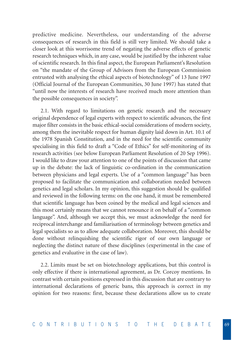predictive medicine. Nevertheless, our understanding of the adverse consequences of research in this field is still very limited. We should take a closer look at this worrisome trend of negating the adverse effects of genetic research techniques which, in any case, would be justified by the inherent value of scientific research. In this final aspect, the European Parliament's Resolution on "the mandate of the Group of Advisors from the European Commission entrusted with analysing the ethical aspects of biotechnology" of 13 June 1997 (Official Journal of the European Communities, 30 June 1997) has stated that "until now the interests of research have received much more attention than the possible consequences in society".

2.1. With regard to limitations on genetic research and the necessary original dependence of legal experts with respect to scientific advances, the first major filter consists in the basic ethical-social considerations of modern society, among them the inevitable respect for human dignity laid down in Art. 10.1 of the 1978 Spanish Constitution, and in the need for the scientific community specialising in this field to draft a "Code of Ethics" for self-monitoring of its research activities (see below European Parliament Resolution of 20 Sep 1996). I would like to draw your attention to one of the points of discussion that came up in the debate: the lack of linguistic co-ordination in the communication between physicians and legal experts. Use of a "common language" has been proposed to facilitate the communication and collaboration needed between genetics and legal scholars. In my opinion, this suggestion should be qualified and reviewed in the following terms: on the one hand, it must be remembered that scientific language has been coined by the medical and legal sciences and this most certainly means that we cannot renounce it on behalf of a "common language". And, although we accept this, we must acknowledge the need for reciprocal interchange and familiarisation of terminology between genetics and legal specialists so as to allow adequate collaboration. Moreover, this should be done without relinquishing the scientific rigor of our own language or neglecting the distinct nature of these disciplines (experimental in the case of genetics and evaluative in the case of law).

2.2. Limits must be set on biotechnology applications, but this control is only effective if there is international agreement, as Dr. Corcoy mentions. In contrast with certain positions expressed in this discussion that are contrary to international declarations of generic bans, this approach is correct in my opinion for two reasons: first, because these declarations allow us to create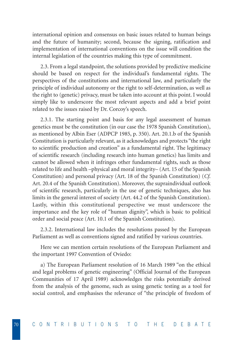international opinion and consensus on basic issues related to human beings and the future of humanity; second, because the signing, ratification and implementation of international conventions on the issue will condition the internal legislation of the countries making this type of commitment.

2.3. From a legal standpoint, the solutions provided by predictive medicine should be based on respect for the individual's fundamental rights. The perspectives of the constitutions and international law, and particularly the principle of individual autonomy or the right to self-determination, as well as the right to (genetic) privacy, must be taken into account at this point. I would simply like to underscore the most relevant aspects and add a brief point related to the issues raised by Dr. Corcoy's speech.

2.3.1. The starting point and basis for any legal assessment of human genetics must be the constitution (in our case the 1978 Spanish Constitution), as mentioned by Albin Eser (ADPCP 1985, p. 350). Art. 20.1.b of the Spanish Constitution is particularly relevant, as it acknowledges and protects "the right to scientific production and creation" as a fundamental right. The legitimacy of scientific research (including research into human genetics) has limits and cannot be allowed when it infringes other fundamental rights, such as those related to life and health –physical and moral integrity– (Art. 15 of the Spanish Constitution) and personal privacy (Art. 18 of the Spanish Constitution) (*Cf*. Art. 20.4 of the Spanish Constitution). Moreover, the supraindividual outlook of scientific research, particularly in the use of genetic techniques, also has limits in the general interest of society (Art. 44.2 of the Spanish Constitution). Lastly, within this constitutional perspective we must underscore the importance and the key role of "human dignity", which is basic to political order and social peace (Art. 10.1 of the Spanish Constitution).

2.3.2. International law includes the resolutions passed by the European Parliament as well as conventions signed and ratified by various countries.

Here we can mention certain resolutions of the European Parliament and the important 1997 Convention of Oviedo:

a) The European Parliament resolution of 16 March 1989 "on the ethical and legal problems of genetic engineering" (Official Journal of the European Communities of 17 April 1989) acknowledges the risks potentially derived from the analysis of the genome, such as using genetic testing as a tool for social control, and emphasises the relevance of "the principle of freedom of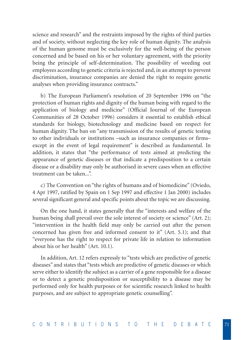science and research" and the restraints imposed by the rights of third parties and of society, without neglecting the key role of human dignity. The analysis of the human genome must be exclusively for the well-being of the person concerned and be based on his or her voluntary agreement, with the priority being the principle of self-determination. The possibility of weeding out employees according to genetic criteria is rejected and, in an attempt to prevent discrimination, insurance companies are denied the right to require genetic analyses when providing insurance contracts."

b) The European Parliament's resolution of 20 September 1996 on "the protection of human rights and dignity of the human being with regard to the application of biology and medicine" (Official Journal of the European Communities of 28 October 1996) considers it essential to establish ethical standards for biology, biotechnology and medicine based on respect for human dignity. The ban on "any transmission of the results of genetic testing to other individuals or institutions –such as insurance companies or firms– except in the event of legal requirement" is described as fundamental. In addition, it states that "the performance of tests aimed at predicting the appearance of genetic diseases or that indicate a predisposition to a certain disease or a disability may only be authorised in severe cases when an effective treatment can be taken...".

c) The Convention on "the rights of humans and of biomedicine" (Oviedo, 4 Apr 1997, ratified by Spain on 1 Sep 1997 and effective 1 Jan 2000) includes several significant general and specific points about the topic we are discussing.

On the one hand, it states generally that the "interests and welfare of the human being shall prevail over the sole interest of society or science" (Art. 2); "intervention in the health field may only be carried out after the person concerned has given free and informed consent to it" (Art. 5.1); and that "everyone has the right to respect for private life in relation to information about his or her health" (Art. 10.1).

In addition, Art. 12 refers expressly to "tests which are predictive of genetic diseases" and states that "tests which are predictive of genetic diseases or which serve either to identify the subject as a carrier of a gene responsible for a disease or to detect a genetic predisposition or susceptibility to a disease may be performed only for health purposes or for scientific research linked to health purposes, and are subject to appropriate genetic counselling".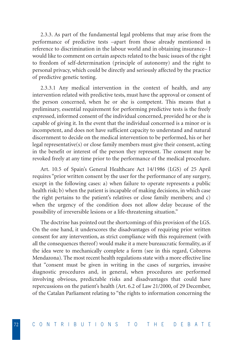2.3.3. As part of the fundamental legal problems that may arise from the performance of predictive tests –apart from those already mentioned in reference to discrimination in the labour world and in obtaining insurance– I would like to comment on certain aspects related to the basic issues of the right to freedom of self-determination (principle of autonomy) and the right to personal privacy, which could be directly and seriously affected by the practice of predictive genetic testing.

2.3.3.1 Any medical intervention in the context of health, and any intervention related with predictive tests, must have the approval or consent of the person concerned, when he or she is competent. This means that a preliminary, essential requirement for performing predictive tests is the freely expressed, informed consent of the individual concerned, provided he or she is capable of giving it. In the event that the individual concerned is a minor or is incompetent, and does not have sufficient capacity to understand and natural discernment to decide on the medical intervention to be performed, his or her legal representative(s) or close family members must give their consent, acting in the benefit or interest of the person they represent. The consent may be revoked freely at any time prior to the performance of the medical procedure.

Art. 10.5 of Spain's General Healthcare Act 14/1986 (LGS) of 25 April requires "prior written consent by the user for the performance of any surgery, except in the following cases: a) when failure to operate represents a public health risk; b) when the patient is incapable of making decisions, in which case the right pertains to the patient's relatives or close family members; and c) when the urgency of the condition does not allow delay because of the possibility of irreversible lesions or a life-threatening situation."

The doctrine has pointed out the shortcomings of this provision of the LGS. On the one hand, it underscores the disadvantages of requiring prior written consent for any intervention, as strict compliance with this requirement (with all the consequences thereof) would make it a mere bureaucratic formality, as if the idea were to mechanically complete a form (see in this regard, Cobreros Mendazona). The most recent health regulations state with a more effective line that "consent must be given in writing in the cases of surgeries, invasive diagnostic procedures and, in general, when procedures are performed involving obvious, predictable risks and disadvantages that could have repercussions on the patient's health (Art. 6.2 of Law 21/2000, of 29 December, of the Catalan Parliament relating to "the rights to information concerning the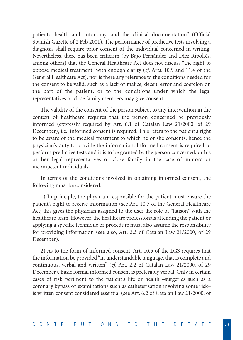patient's health and autonomy, and the clinical documentation" (Official Spanish Gazette of 2 Feb 2001). The performance of predictive tests involving a diagnosis shall require prior consent of the individual concerned in writing. Nevertheless, there has been criticism (by Bajo Fernández and Díez Ripollés, among others) that the General Healthcare Act does not discuss "the right to oppose medical treatment" with enough clarity (*cf.* Arts. 10.9 and 11.4 of the General Healthcare Act), nor is there any reference to the conditions needed for the consent to be valid, such as a lack of malice, deceit, error and coercion on the part of the patient, or to the conditions under which the legal representatives or close family members may give consent.

The validity of the consent of the person subject to any intervention in the context of healthcare requires that the person concerned be previously informed (expressly required by Art. 6.1 of Catalan Law 21/2000, of 29 December), i.e., informed consent is required. This refers to the patient's right to be aware of the medical treatment to which he or she consents, hence the physician's duty to provide the information. Informed consent is required to perform predictive tests and it is to be granted by the person concerned, or his or her legal representatives or close family in the case of minors or incompetent individuals.

In terms of the conditions involved in obtaining informed consent, the following must be considered:

1) In principle, the physician responsible for the patient must ensure the patient's right to receive information (see Art. 10.7 of the General Healthcare Act; this gives the physician assigned to the user the role of "liaison" with the healthcare team. However, the healthcare professionals attending the patient or applying a specific technique or procedure must also assume the responsibility for providing information (see also, Art. 2.3 of Catalan Law 21/2000, of 29 December).

2) As to the form of informed consent, Art. 10.5 of the LGS requires that the information be provided "in understandable language, that is complete and continuous, verbal and written" (*cf.* Art. 2.2 of Catalan Law 21/2000, of 29 December). Basic formal informed consent is preferably verbal. Only in certain cases of risk pertinent to the patient's life or health –surgeries such as a coronary bypass or examinations such as catheterisation involving some risk– is written consent considered essential (see Art. 6.2 of Catalan Law 21/2000, of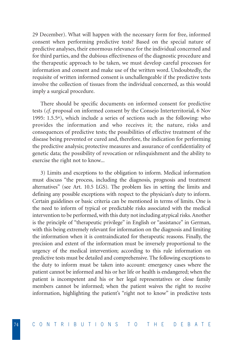29 December). What will happen with the necessary form for free, informed consent when performing predictive tests? Based on the special nature of predictive analyses, their enormous relevance for the individual concerned and for third parties, and the dubious effectiveness of the diagnostic procedure and the therapeutic approach to be taken, we must develop careful processes for information and consent and make use of the written word. Undoubtedly, the requisite of written informed consent is unchallengeable if the predictive tests involve the collection of tissues from the individual concerned, as this would imply a surgical procedure.

There should be specific documents on informed consent for predictive tests (*cf.* proposal on informed consent by the Consejo Interterritorial, 6 Nov 1995: 1.5.5º), which include a series of sections such as the following: who provides the information and who receives it; the nature, risks and consequences of predictive tests; the possibilities of effective treatment of the disease being prevented or cured and, therefore, the indication for performing the predictive analysis; protective measures and assurance of confidentiality of genetic data; the possibility of revocation or relinquishment and the ability to exercise the right not to know...

3) Limits and exceptions to the obligation to inform. Medical information must discuss "the process, including the diagnosis, prognosis and treatment alternatives" (see Art. 10.5 LGS). The problem lies in setting the limits and defining any possible exceptions with respect to the physician's duty to inform. Certain guidelines or basic criteria can be mentioned in terms of limits. One is the need to inform of typical or predictable risks associated with the medical intervention to be performed, with this duty not including atypical risks. Another is the principle of "therapeutic privilege" in English or "assistance" in German, with this being extremely relevant for information on the diagnosis and limiting the information when it is contraindicated for therapeutic reasons. Finally, the precision and extent of the information must be inversely proportional to the urgency of the medical intervention; according to this rule information on predictive tests must be detailed and comprehensive. The following exceptions to the duty to inform must be taken into account: emergency cases where the patient cannot be informed and his or her life or health is endangered; when the patient is incompetent and his or her legal representatives or close family members cannot be informed; when the patient waives the right to receive information, highlighting the patient's "right not to know" in predictive tests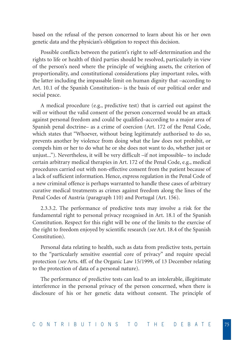based on the refusal of the person concerned to learn about his or her own genetic data and the physician's obligation to respect this decision.

Possible conflicts between the patient's right to self-determination and the rights to life or health of third parties should be resolved, particularly in view of the person's need where the principle of weighing assets, the criterion of proportionality, and constitutional considerations play important roles, with the latter including the impassable limit on human dignity that –according to Art. 10.1 of the Spanish Constitution– is the basis of our political order and social peace.

A medical procedure (e.g., predictive test) that is carried out against the will or without the valid consent of the person concerned would be an attack against personal freedom and could be qualified–according to a major area of Spanish penal doctrine– as a crime of coercion (Art. 172 of the Penal Code, which states that "Whoever, without being legitimately authorised to do so, prevents another by violence from doing what the law does not prohibit, or compels him or her to do what he or she does not want to do, whether just or unjust..."). Nevertheless, it will be very difficult –if not impossible– to include certain arbitrary medical therapies in Art. 172 of the Penal Code, e.g., medical procedures carried out with non-effective consent from the patient because of a lack of sufficient information. Hence, express regulation in the Penal Code of a new criminal offence is perhaps warranted to handle these cases of arbitrary curative medical treatments as crimes against freedom along the lines of the Penal Codes of Austria (paragraph 110) and Portugal (Art. 156).

2.3.3.2. The performance of predictive tests may involve a risk for the fundamental right to personal privacy recognised in Art. 18.1 of the Spanish Constitution. Respect for this right will be one of the limits to the exercise of the right to freedom enjoyed by scientific research (*see* Art. 18.4 of the Spanish Constitution).

Personal data relating to health, such as data from predictive tests, pertain to the "particularly sensitive essential core of privacy" and require special protection (*see* Arts. 4ff. of the Organic Law 15/1999, of 13 December relating to the protection of data of a personal nature).

The performance of predictive tests can lead to an intolerable, illegitimate interference in the personal privacy of the person concerned, when there is disclosure of his or her genetic data without consent. The principle of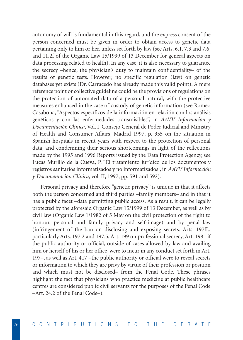autonomy of will is fundamental in this regard, and the express consent of the person concerned must be given in order to obtain access to genetic data pertaining only to him or her, unless set forth by law (see Arts. 6.1, 7.3 and 7.6, and 11.2f of the Organic Law 15/1999 of 13 December for general aspects on data processing related to health). In any case, it is also necessary to guarantee the secrecy –hence, the physician's duty to maintain confidentiality– of the results of genetic tests. However, no specific regulation (law) on genetic databases yet exists (Dr. Carracedo has already made this valid point). A mere reference point or collective guideline could be the provisions of regulations on the protection of automated data of a personal natural, with the protective measures enhanced in the case of custody of genetic information (see Romeo Casabona, "Aspectos específicos de la información en relación con los análisis genéticos y con las enfermedades transmisibles", in *AAVV Información y Documentación Clínica,* Vol. I, Consejo General de Poder Judicial and Ministry of Health and Consumer Affairs, Madrid 1997, p. 355 on the situation in Spanish hospitals in recent years with respect to the protection of personal data, and condemning their serious shortcomings in light of the reflections made by the 1995 and 1996 Reports issued by the Data Protection Agency, see Lucas Murillo de la Cueva, P. "El tratamiento jurídico de los documentos y registros sanitarios informatizados y no informatizados", in *AAVV Información y Documentación Clínica,* vol. II, 1997, pp. 591 and 592).

Personal privacy and therefore "genetic privacy" is unique in that it affects both the person concerned and third parties –family members– and in that it has a public facet –data permitting public access. As a result, it can be legally protected by the aforesaid Organic Law 15/1999 of 13 December, as well as by civil law (Organic Law 1/1982 of 5 May on the civil protection of the right to honour, personal and family privacy and self-image) and by penal law (infringement of the ban on disclosing and exposing secrets: Arts. 197ff., particularly Arts. 197.2 and 197.5, Art. 199 on professional secrecy, Art. 198 –if the public authority or official, outside of cases allowed by law and availing him or herself of his or her office, were to incur in any conduct set forth in Art. 197–, as well as Art. 417 –the public authority or official were to reveal secrets or information to which they are privy by virtue of their profession or position and which must not be disclosed– from the Penal Code. These phrases highlight the fact that physicians who practice medicine at public healthcare centres are considered public civil servants for the purposes of the Penal Code –Art. 24.2 of the Penal Code–).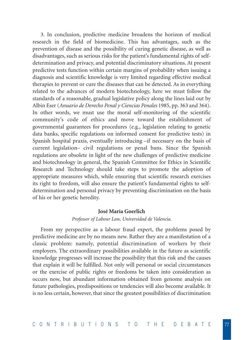3. In conclusion, predictive medicine broadens the horizon of medical research in the field of biomedicine. This has advantages, such as the prevention of disease and the possibility of curing genetic disease, as well as disadvantages, such as serious risks for the patient's fundamental rights of selfdetermination and privacy, and potential discriminatory situations. At present predictive tests function within certain margins of probability when issuing a diagnosis and scientific knowledge is very limited regarding effective medical therapies to prevent or cure the diseases that can be detected. As in everything related to the advances of modern biotechnology, here we must follow the standards of a reasonable, gradual legislative policy along the lines laid out by Albin Eser (*Anuario de Derecho Penal y Ciencias Penales* 1985, pp. 363 and 364). In other words, we must use the moral self-monitoring of the scientific community's code of ethics and move toward the establishment of governmental guarantees for procedures (e.g., legislation relating to genetic data banks, specific regulations on informed consent for predictive tests) in Spanish hospital praxis, eventually introducing –if necessary on the basis of current legislation– civil regulations or penal bans. Since the Spanish regulations are obsolete in light of the new challenges of predictive medicine and biotechnology in general, the Spanish Committee for Ethics in Scientific Research and Technology should take steps to promote the adoption of appropriate measures which, while ensuring that scientific research exercises its right to freedom, will also ensure the patient's fundamental rights to selfdetermination and personal privacy by preventing discrimination on the basis of his or her genetic heredity.

## **José María Goerlich**

### *Professor of Labour Law, Universidad de Valencia.*

From my perspective as a labour fraud expert, the problems posed by predictive medicine are by no means new. Rather they are a manifestation of a classic problem: namely, potential discrimination of workers by their employers. The extraordinary possibilities available in the future as scientific knowledge progresses will increase the possibility that this risk and the causes that explain it will be fulfilled. Not only will personal or social circumstances or the exercise of public rights or freedoms be taken into consideration as occurs now, but abundant information obtained from genome analysis on future pathologies, predispositions or tendencies will also become available. It is no less certain, however, that since the greatest possibilities of discrimination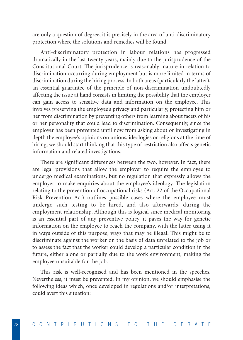are only a question of degree, it is precisely in the area of anti-discriminatory protection where the solutions and remedies will be found.

Anti-discriminatory protection in labour relations has progressed dramatically in the last twenty years, mainly due to the jurisprudence of the Constitutional Court. The jurisprudence is reasonably mature in relation to discrimination occurring during employment but is more limited in terms of discrimination during the hiring process. In both areas (particularly the latter), an essential guarantee of the principle of non-discrimination undoubtedly affecting the issue at hand consists in limiting the possibility that the employer can gain access to sensitive data and information on the employee. This involves preserving the employee's privacy and particularly, protecting him or her from discrimination by preventing others from learning about facets of his or her personality that could lead to discrimination. Consequently, since the employer has been prevented until now from asking about or investigating in depth the employee's opinions on unions, ideologies or religions at the time of hiring, we should start thinking that this type of restriction also affects genetic information and related investigations.

There are significant differences between the two, however. In fact, there are legal provisions that allow the employer to require the employee to undergo medical examinations, but no regulation that expressly allows the employer to make enquiries about the employee's ideology. The legislation relating to the prevention of occupational risks (Art. 22 of the Occupational Risk Prevention Act) outlines possible cases where the employee must undergo such testing to be hired, and also afterwards, during the employment relationship. Although this is logical since medical monitoring is an essential part of any preventive policy, it paves the way for genetic information on the employee to reach the company, with the latter using it in ways outside of this purpose, ways that may be illegal. This might be to discriminate against the worker on the basis of data unrelated to the job or to assess the fact that the worker could develop a particular condition in the future, either alone or partially due to the work environment, making the employee unsuitable for the job.

This risk is well-recognised and has been mentioned in the speeches. Nevertheless, it must be prevented. In my opinion, we should emphasise the following ideas which, once developed in regulations and/or interpretations, could avert this situation: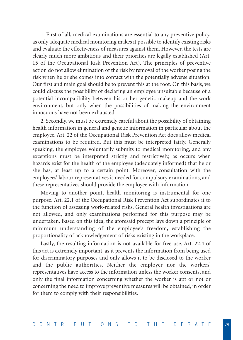1. First of all, medical examinations are essential to any preventive policy, as only adequate medical monitoring makes it possible to identify existing risks and evaluate the effectiveness of measures against them. However, the tests are clearly much more ambitious and their priorities are legally established (Art. 15 of the Occupational Risk Prevention Act). The principles of preventive action do not allow elimination of the risk by removal of the worker posing the risk when he or she comes into contact with the potentially adverse situation. Our first and main goal should be to prevent this at the root. On this basis, we could discuss the possibility of declaring an employee unsuitable because of a potential incompatibility between his or her genetic makeup and the work environment, but only when the possibilities of making the environment innocuous have not been exhausted.

2. Secondly, we must be extremely careful about the possibility of obtaining health information in general and genetic information in particular about the employee. Art. 22 of the Occupational Risk Prevention Act does allow medical examinations to be required. But this must be interpreted fairly. Generally speaking, the employee voluntarily submits to medical monitoring, and any exceptions must be interpreted strictly and restrictively, as occurs when hazards exist for the health of the employee (adequately informed) that he or she has, at least up to a certain point. Moreover, consultation with the employees' labour representatives is needed for compulsory examinations, and these representatives should provide the employee with information.

Moving to another point, health monitoring is instrumental for one purpose. Art. 22.1 of the Occupational Risk Prevention Act subordinates it to the function of assessing work-related risks. General health investigations are not allowed, and only examinations performed for this purpose may be undertaken. Based on this idea, the aforesaid precept lays down a principle of minimum understanding of the employee's freedom, establishing the proportionality of acknowledgement of risks existing in the workplace.

Lastly, the resulting information is not available for free use. Art. 22.4 of this act is extremely important, as it prevents the information from being used for discriminatory purposes and only allows it to be disclosed to the worker and the public authorities. Neither the employer nor the workers' representatives have access to the information unless the worker consents, and only the final information concerning whether the worker is apt or not or concerning the need to improve preventive measures will be obtained, in order for them to comply with their responsibilities.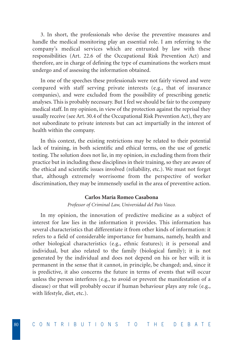3. In short, the professionals who devise the preventive measures and handle the medical monitoring play an essential role. I am referring to the company's medical services which are entrusted by law with these responsibilities (Art. 22.6 of the Occupational Risk Prevention Act) and therefore, are in charge of defining the type of examinations the workers must undergo and of assessing the information obtained.

In one of the speeches these professionals were not fairly viewed and were compared with staff serving private interests (e.g., that of insurance companies), and were excluded from the possibility of prescribing genetic analyses. This is probably necessary. But I feel we should be fair to the company medical staff. In my opinion, in view of the protection against the reprisal they usually receive (see Art. 30.4 of the Occupational Risk Prevention Act), they are not subordinate to private interests but can act impartially in the interest of health within the company.

In this context, the existing restrictions may be related to their potential lack of training, in both scientific and ethical terms, on the use of genetic testing. The solution does not lie, in my opinion, in excluding them from their practice but in including these disciplines in their training, so they are aware of the ethical and scientific issues involved (reliability, etc.). We must not forget that, although extremely worrisome from the perspective of worker discrimination, they may be immensely useful in the area of preventive action.

## **Carlos María Romeo Casabona**

### *Professor of Criminal Law, Universidad del País Vasco.*

In my opinion, the innovation of predictive medicine as a subject of interest for law lies in the information it provides. This information has several characteristics that differentiate it from other kinds of information: it refers to a field of considerable importance for humans, namely, health and other biological characteristics (e.g., ethnic features); it is personal and individual, but also related to the family (biological family); it is not generated by the individual and does not depend on his or her will; it is permanent in the sense that it cannot, in principle, be changed; and, since it is predictive, it also concerns the future in terms of events that will occur unless the person interferes (e.g., to avoid or prevent the manifestation of a disease) or that will probably occur if human behaviour plays any role (e.g., with lifestyle, diet, etc.).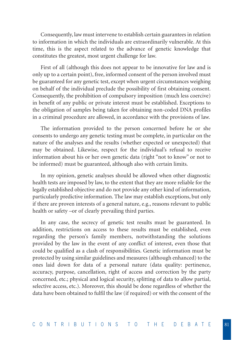Consequently, law must intervene to establish certain guarantees in relation to information in which the individuals are extraordinarily vulnerable. At this time, this is the aspect related to the advance of genetic knowledge that constitutes the greatest, most urgent challenge for law.

First of all (although this does not appear to be innovative for law and is only up to a certain point), free, informed consent of the person involved must be guaranteed for any genetic test, except when urgent circumstances weighing on behalf of the individual preclude the possibility of first obtaining consent. Consequently, the prohibition of compulsory imposition (much less coercive) in benefit of any public or private interest must be established. Exceptions to the obligation of samples being taken for obtaining non-coded DNA profiles in a criminal procedure are allowed, in accordance with the provisions of law.

The information provided to the person concerned before he or she consents to undergo any genetic testing must be complete, in particular on the nature of the analyses and the results (whether expected or unexpected) that may be obtained. Likewise, respect for the individual's refusal to receive information about his or her own genetic data (right "not to know" or not to be informed) must be guaranteed, although also with certain limits.

In my opinion, genetic analyses should be allowed when other diagnostic health tests are imposed by law, to the extent that they are more reliable for the legally established objective and do not provide any other kind of information, particularly predictive information. The law may establish exceptions, but only if there are proven interests of a general nature, e.g., reasons relevant to public health or safety –or of clearly prevailing third parties.

In any case, the secrecy of genetic test results must be guaranteed. In addition, restrictions on access to these results must be established, even regarding the person's family members, notwithstanding the solutions provided by the law in the event of any conflict of interest, even those that could be qualified as a clash of responsibilities. Genetic information must be protected by using similar guidelines and measures (although enhanced) to the ones laid down for data of a personal nature (data quality: pertinence, accuracy, purpose, cancellation, right of access and correction by the party concerned, etc.; physical and logical security, splitting of data to allow partial, selective access, etc.). Moreover, this should be done regardless of whether the data have been obtained to fulfil the law (if required) or with the consent of the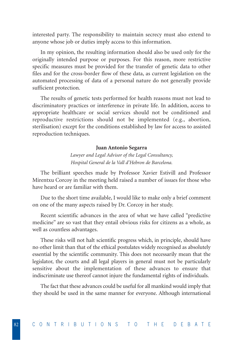interested party. The responsibility to maintain secrecy must also extend to anyone whose job or duties imply access to this information.

In my opinion, the resulting information should also be used only for the originally intended purpose or purposes. For this reason, more restrictive specific measures must be provided for the transfer of genetic data to other files and for the cross-border flow of these data, as current legislation on the automated processing of data of a personal nature do not generally provide sufficient protection.

The results of genetic tests performed for health reasons must not lead to discriminatory practices or interference in private life. In addition, access to appropriate healthcare or social services should not be conditioned and reproductive restrictions should not be implemented (e.g., abortion, sterilisation) except for the conditions established by law for access to assisted reproduction techniques.

## **Juan Antonio Segarra**

*Lawyer and Legal Advisor of the Legal Consultancy, Hospital General de la Vall d'Hebron de Barcelona.*

The brilliant speeches made by Professor Xavier Estivill and Professor Mirentxu Corcoy in the meeting held raised a number of issues for those who have heard or are familiar with them.

Due to the short time available, I would like to make only a brief comment on one of the many aspects raised by Dr. Corcoy in her study.

Recent scientific advances in the area of what we have called "predictive medicine" are so vast that they entail obvious risks for citizens as a whole, as well as countless advantages.

These risks will not halt scientific progress which, in principle, should have no other limit than that of the ethical postulates widely recognised as absolutely essential by the scientific community. This does not necessarily mean that the legislator, the courts and all legal players in general must not be particularly sensitive about the implementation of these advances to ensure that indiscriminate use thereof cannot injure the fundamental rights of individuals.

The fact that these advances could be useful for all mankind would imply that they should be used in the same manner for everyone. Although international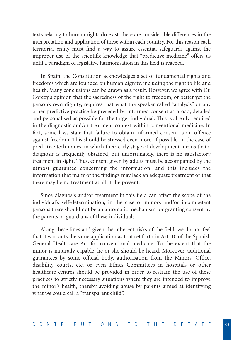texts relating to human rights do exist, there are considerable differences in the interpretation and application of these within each country. For this reason each territorial entity must find a way to assure essential safeguards against the improper use of the scientific knowledge that "predictive medicine" offers us until a paradigm of legislative harmonisation in this field is reached.

In Spain, the Constitution acknowledges a set of fundamental rights and freedoms which are founded on human dignity, including the right to life and health. Many conclusions can be drawn as a result. However, we agree with Dr. Corcoy's opinion that the sacredness of the right to freedom, or better yet the person's own dignity, requires that what the speaker called "analysis" or any other predictive practice be preceded by informed consent as broad, detailed and personalised as possible for the target individual. This is already required in the diagnostic and/or treatment context within conventional medicine. In fact, some laws state that failure to obtain informed consent is an offence against freedom. This should be stressed even more, if possible, in the case of predictive techniques, in which their early stage of development means that a diagnosis is frequently obtained, but unfortunately, there is no satisfactory treatment in sight. Thus, consent given by adults must be accompanied by the utmost guarantee concerning the information, and this includes the information that many of the findings may lack an adequate treatment or that there may be no treatment at all at the present.

Since diagnosis and/or treatment in this field can affect the scope of the individual's self-determination, in the case of minors and/or incompetent persons there should not be an automatic mechanism for granting consent by the parents or guardians of these individuals.

Along these lines and given the inherent risks of the field, we do not feel that it warrants the same application as that set forth in Art. 10 of the Spanish General Healthcare Act for conventional medicine. To the extent that the minor is naturally capable, he or she should be heard. Moreover, additional guarantees by some official body, authorisation from the Minors' Office, disability courts, etc. or even Ethics Committees in hospitals or other healthcare centres should be provided in order to restrain the use of these practices to strictly necessary situations where they are intended to improve the minor's health, thereby avoiding abuse by parents aimed at identifying what we could call a "transparent child".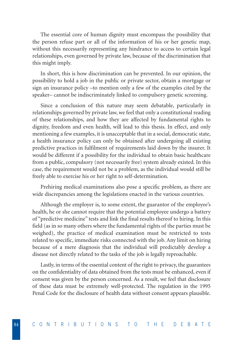The essential core of human dignity must encompass the possibility that the person refuse part or all of the information of his or her genetic map, without this necessarily representing any hindrance to access to certain legal relationships, even governed by private law, because of the discrimination that this might imply.

In short, this is how discrimination can be prevented. In our opinion, the possibility to hold a job in the public or private sector, obtain a mortgage or sign an insurance policy –to mention only a few of the examples cited by the speaker– cannot be indiscriminately linked to compulsory genetic screening.

Since a conclusion of this nature may seem debatable, particularly in relationships governed by private law, we feel that only a constitutional reading of these relationships, and how they are affected by fundamental rights to dignity, freedom and even health, will lead to this thesis. In effect, and only mentioning a few examples, it is unacceptable that in a social, democratic state, a health insurance policy can only be obtained after undergoing all existing predictive practices in fulfilment of requirements laid down by the insurer. It would be different if a possibility for the individual to obtain basic healthcare from a public, compulsory (not necessarily free) system already existed. In this case, the requirement would not be a problem, as the individual would still be freely able to exercise his or her right to self-determination.

Prehiring medical examinations also pose a specific problem, as there are wide discrepancies among the legislations enacted in the various countries.

Although the employer is, to some extent, the guarantor of the employee's health, he or she cannot require that the potential employee undergo a battery of "predictive medicine" tests and link the final results thereof to hiring. In this field (as in so many others where the fundamental rights of the parties must be weighed), the practice of medical examination must be restricted to tests related to specific, immediate risks connected with the job. Any limit on hiring because of a mere diagnosis that the individual will predictably develop a disease not directly related to the tasks of the job is legally reproachable.

Lastly, in terms of the essential content of the right to privacy, the guarantees on the confidentiality of data obtained from the tests must be enhanced, even if consent was given by the person concerned. As a result, we feel that disclosure of these data must be extremely well-protected. The regulation in the 1995 Penal Code for the disclosure of health data without consent appears plausible.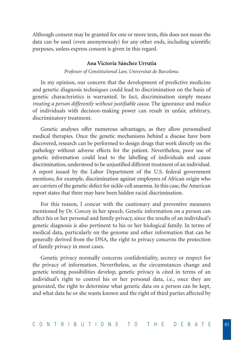Although consent may be granted for one or more tests, this does not mean the data can be used (even anonymously) for any other ends, including scientific purposes, unless express consent is given in this regard.

## **Ana Victoria Sánchez Urrutia**

*Professor of Constitutional Law, Universitat de Barcelona.*

In my opinion, our concern that the development of predictive medicine and genetic diagnosis techniques could lead to discrimination on the basis of genetic characteristics is warranted. In fact, discrimination simply means *treating a person differently without justifiable cause*. The ignorance and malice of individuals with decision-making power can result in unfair, arbitrary, discriminatory treatment.

Genetic analyses offer numerous advantages, as they allow personalised medical therapies. Once the genetic mechanisms behind a disease have been discovered, research can be performed to design drugs that work directly on the pathology without adverse effects for the patient. Nevertheless, poor use of genetic information could lead to the labelling of individuals and cause discrimination, understood to be unjustified different treatment of an individual. A report issued by the Labor Department of the U.S. federal government mentions, for example, discrimination against employees of African origin who are carriers of the genetic defect for sickle-cell anaemia. In this case, the American report states that there may have been hidden racial discrimination.

For this reason, I concur with the cautionary and preventive measures mentioned by Dr. Corcoy in her speech. Genetic information on a person can affect his or her personal and family privacy, since the results of an individual's genetic diagnosis is also pertinent to his or her biological family. In terms of medical data, particularly on the genome and other information that can be generally derived from the DNA, the right to privacy concerns the protection of family privacy in most cases.

Genetic privacy normally concerns confidentiality, secrecy or respect for the privacy of information. Nevertheless, as the circumstances change and genetic testing possibilities develop, genetic privacy is cited in terms of an individual's right to control his or her personal data, i.e., once they are generated, the right to determine what genetic data on a person can be kept, and what data he or she wants known and the right of third parties affected by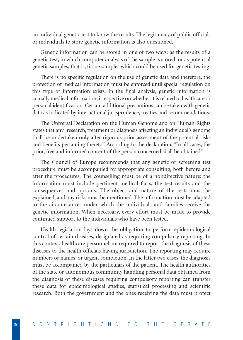an individual genetic test to know the results. The legitimacy of public officials or individuals to store genetic information is also questioned.

Genetic information can be stored in one of two ways: as the results of a genetic test, in which computer analysis of the sample is stored, or as potential genetic samples; that is, tissue samples which could be used for genetic testing.

There is no specific regulation on the use of genetic data and therefore, the protection of medical information must be enforced until special regulation on this type of information exists. In the final analysis, genetic information is actually medical information, irrespective on whether it is related to healthcare or personal identification. Certain additional precautions can be taken with genetic data as indicated by international jurisprudence, treaties and recommendations:

The Universal Declaration on the Human Genome and on Human Rights states that any "research, treatment or diagnosis affecting an individual's genome shall be undertaken only after rigorous prior assessment of the potential risks and benefits pertaining thereto". According to the declaration, "In all cases, the prior, free and informed consent of the person concerned shall be obtained."

The Council of Europe recommends that any genetic or screening test procedure must be accompanied by appropriate consulting, both before and after the procedures. The counselling must be of a nondirective nature: the information must include pertinent medical facts, the test results and the consequences and options. The object and nature of the tests must be explained, and any risks must be mentioned. The information must be adapted to the circumstances under which the individuals and families receive the genetic information. When necessary, every effort must be made to provide continued support to the individuals who have been tested.

Health legislation lays down the obligation to perform epidemiological control of certain diseases, designated as requiring compulsory reporting. In this context, healthcare personnel are required to report the diagnosis of these diseases to the health officials having jurisdiction. The reporting may require numbers or names, or urgent completion. In the latter two cases, the diagnosis must be accompanied by the particulars of the patient. The health authorities of the state or autonomous community handling personal data obtained from the diagnosis of these diseases requiring compulsory reporting can transfer these data for epidemiological studies, statistical processing and scientific research. Both the government and the ones receiving the data must protect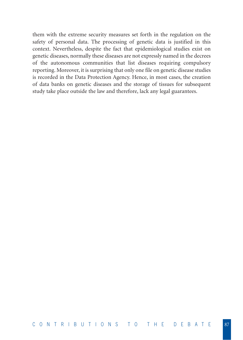them with the extreme security measures set forth in the regulation on the safety of personal data. The processing of genetic data is justified in this context. Nevertheless, despite the fact that epidemiological studies exist on genetic diseases, normally these diseases are not expressly named in the decrees of the autonomous communities that list diseases requiring compulsory reporting. Moreover, it is surprising that only one file on genetic disease studies is recorded in the Data Protection Agency. Hence, in most cases, the creation of data banks on genetic diseases and the storage of tissues for subsequent study take place outside the law and therefore, lack any legal guarantees.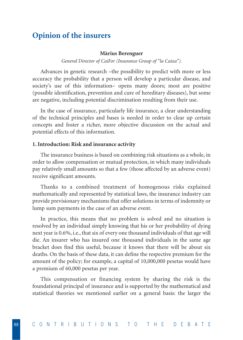# **Opinion of the insurers**

#### **Màrius Berenguer**

*General Director of CaiFor (Insurance Group of "la Caixa").*

Advances in genetic research –the possibility to predict with more or less accuracy the probability that a person will develop a particular disease, and society's use of this information– opens many doors; most are positive (possible identification, prevention and cure of hereditary diseases), but some are negative, including potential discrimination resulting from their use.

In the case of insurance, particularly life insurance, a clear understanding of the technical principles and bases is needed in order to clear up certain concepts and foster a richer, more objective discussion on the actual and potential effects of this information.

## **1. Introduction: Risk and insurance activity**

The insurance business is based on combining risk situations as a whole, in order to allow compensation or mutual protection, in which many individuals pay relatively small amounts so that a few (those affected by an adverse event) receive significant amounts.

Thanks to a combined treatment of homogenous risks explained mathematically and represented by statistical laws, the insurance industry can provide previsionary mechanisms that offer solutions in terms of indemnity or lump sum payments in the case of an adverse event.

In practice, this means that no problem is solved and no situation is resolved by an individual simply knowing that his or her probability of dying next year is 0.6%, i.e., that six of every one thousand individuals of that age will die. An insurer who has insured one thousand individuals in the same age bracket does find this useful, because it knows that there will be about six deaths. On the basis of these data, it can define the respective premium for the amount of the policy; for example, a capital of 10,000,000 pesetas would have a premium of 60,000 pesetas per year.

This compensation or financing system by sharing the risk is the foundational principal of insurance and is supported by the mathematical and statistical theories we mentioned earlier on a general basis: the larger the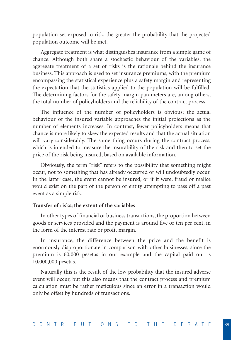population set exposed to risk, the greater the probability that the projected population outcome will be met.

Aggregate treatment is what distinguishes insurance from a simple game of chance. Although both share a stochastic behaviour of the variables, the aggregate treatment of a set of risks is the rationale behind the insurance business. This approach is used to set insurance premiums, with the premium encompassing the statistical experience plus a safety margin and representing the expectation that the statistics applied to the population will be fulfilled. The determining factors for the safety margin parameters are, among others, the total number of policyholders and the reliability of the contract process.

The influence of the number of policyholders is obvious; the actual behaviour of the insured variable approaches the initial projections as the number of elements increases. In contrast, fewer policyholders means that chance is more likely to skew the expected results and that the actual situation will vary considerably. The same thing occurs during the contract process, which is intended to measure the insurability of the risk and then to set the price of the risk being insured, based on available information.

Obviously, the term "risk" refers to the possibility that something might occur, not to something that has already occurred or will undoubtedly occur. In the latter case, the event cannot be insured, or if it were, fraud or malice would exist on the part of the person or entity attempting to pass off a past event as a simple risk.

### **Transfer of risks; the extent of the variables**

In other types of financial or business transactions, the proportion between goods or services provided and the payment is around five or ten per cent, in the form of the interest rate or profit margin.

In insurance, the difference between the price and the benefit is enormously disproportionate in comparison with other businesses, since the premium is 60,000 pesetas in our example and the capital paid out is 10,000,000 pesetas.

Naturally this is the result of the low probability that the insured adverse event will occur, but this also means that the contract process and premium calculation must be rather meticulous since an error in a transaction would only be offset by hundreds of transactions.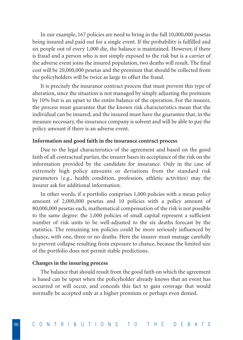In our example, 167 policies are need to bring in the full 10,000,000 pesetas being insured and paid out for a single event. If the probability is fulfilled and six people out of every 1,000 die, the balance is maintained. However, if there is fraud and a person who is not simply exposed to the risk but is a carrier of the adverse event joins the insured population, two deaths will result. The final cost will be 20,000,000 pesetas and the premium that should be collected from the policyholders will be twice as large to offset the fraud.

It is precisely the insurance contract process that must prevent this type of alteration, since the situation is not managed by simply adjusting the premium by 10% but is an upset to the entire balance of the operation. For the insurer, the process must guarantee that the known risk characteristics mean that the individual can be insured; and the insured must have the guarantee that, in the measure necessary, the insurance company is solvent and will be able to pay the policy amount if there is an adverse event.

## **Information and good faith in the insurance contract process**

Due to the legal characteristics of the agreement and based on the good faith of all contractual parties, the insurer bases its acceptance of the risk on the information provided by the candidate for insurance. Only in the case of extremely high policy amounts or deviations from the standard risk parameters (e.g., health condition, profession, athletic activities) may the insurer ask for additional information.

In other words, if a portfolio comprises 1,000 policies with a mean policy amount of 2,000,000 pesetas and 10 policies with a policy amount of 80,000,000 pesetas each, mathematical compensation of the risk is not possible to the same degree: the 1,000 policies of small capital represent a sufficient number of risk units to be well-adjusted to the six deaths forecast by the statistics. The remaining ten policies could be more seriously influenced by chance, with one, three or no deaths. Here the insurer must manage carefully to prevent collapse resulting from exposure to chance, because the limited size of the portfolio does not permit stable predictions.

## **Changes in the insuring process**

90

The balance that should result from the good faith on which the agreement is based can be upset when the policyholder already knows that an event has occurred or will occur, and conceals this fact to gain coverage that would normally be accepted only at a higher premium or perhaps even denied.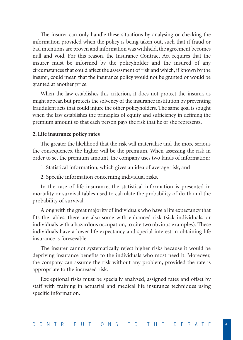The insurer can only handle these situations by analysing or checking the information provided when the policy is being taken out, such that if fraud or bad intentions are proven and information was withheld, the agreement becomes null and void. For this reason, the Insurance Contract Act requires that the insurer must be informed by the policyholder and the insured of any circumstances that could affect the assessment of risk and which, if known by the insurer, could mean that the insurance policy would not be granted or would be granted at another price.

When the law establishes this criterion, it does not protect the insurer, as might appear, but protects the solvency of the insurance institution by preventing fraudulent acts that could injure the other policyholders. The same goal is sought when the law establishes the principles of equity and sufficiency in defining the premium amount so that each person pays the risk that he or she represents.

## **2. Life insurance policy rates**

The greater the likelihood that the risk will materialise and the more serious the consequences, the higher will be the premium. When assessing the risk in order to set the premium amount, the company uses two kinds of information:

1. Statistical information, which gives an idea of average risk, and

2. Specific information concerning individual risks.

In the case of life insurance, the statistical information is presented in mortality or survival tables used to calculate the probability of death and the probability of survival.

Along with the great majority of individuals who have a life expectancy that fits the tables, there are also some with enhanced risk (sick individuals, or individuals with a hazardous occupation, to cite two obvious examples). These individuals have a lower life expectancy and special interest in obtaining life insurance is foreseeable.

The insurer cannot systematically reject higher risks because it would be depriving insurance benefits to the individuals who most need it. Moreover, the company can assume the risk without any problem, provided the rate is appropriate to the increased risk.

Exc eptional risks must be specially analysed, assigned rates and offset by staff with training in actuarial and medical life insurance techniques using specific information.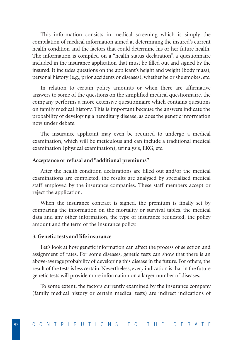This information consists in medical screening which is simply the compilation of medical information aimed at determining the insured's current health condition and the factors that could determine his or her future health. The information is compiled on a "health status declaration", a questionnaire included in the insurance application that must be filled out and signed by the insured. It includes questions on the applicant's height and weight (body mass), personal history (e.g., prior accidents or diseases), whether he or she smokes, etc.

In relation to certain policy amounts or when there are affirmative answers to some of the questions on the simplified medical questionnaire, the company performs a more extensive questionnaire which contains questions on family medical history. This is important because the answers indicate the probability of developing a hereditary disease, as does the genetic information now under debate.

The insurance applicant may even be required to undergo a medical examination, which will be meticulous and can include a traditional medical examination (physical examination), urinalysis, EKG, etc.

## **Acceptance or refusal and "additional premiums"**

After the health condition declarations are filled out and/or the medical examinations are completed, the results are analysed by specialised medical staff employed by the insurance companies. These staff members accept or reject the application.

When the insurance contract is signed, the premium is finally set by comparing the information on the mortality or survival tables, the medical data and any other information, the type of insurance requested, the policy amount and the term of the insurance policy.

# **3. Genetic tests and life insurance**

92

Let's look at how genetic information can affect the process of selection and assignment of rates. For some diseases, genetic tests can show that there is an above-average probability of developing this disease in the future. For others, the result of the tests is less certain. Nevertheless, every indication is that in the future genetic tests will provide more information on a larger number of diseases.

To some extent, the factors currently examined by the insurance company (family medical history or certain medical tests) are indirect indications of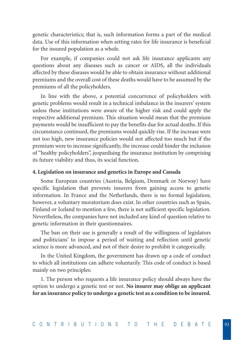genetic characteristics; that is, such information forms a part of the medical data. Use of this information when setting rates for life insurance is beneficial for the insured population as a whole.

For example, if companies could not ask life insurance applicants any questions about any diseases such as cancer or AIDS, all the individuals affected by these diseases would be able to obtain insurance without additional premiums and the overall cost of these deaths would have to be assumed by the premiums of all the policyholders.

In line with the above, a potential concurrence of policyholders with genetic problems would result in a technical imbalance in the insurers' system unless these institutions were aware of the higher risk and could apply the respective additional premium. This situation would mean that the premium payments would be insufficient to pay the benefits due for actual deaths. If this circumstance continued, the premiums would quickly rise. If the increase were not too high, new insurance policies would not affected too much but if the premium were to increase significantly, the increase could hinder the inclusion of "healthy policyholders", jeopardising the insurance institution by comprising its future viability and thus, its social function.

## **4. Legislation on insurance and genetics in Europe and Canada**

Some European countries (Austria, Belgium, Denmark or Norway) have specific legislation that prevents insurers from gaining access to genetic information. In France and the Netherlands, there is no formal legislation; however, a voluntary moratorium does exist. In other countries such as Spain, Finland or Iceland to mention a few, there is not sufficient specific legislation. Nevertheless, the companies have not included any kind of question relative to genetic information in their questionnaires.

The ban on their use is generally a result of the willingness of legislators and politicians' to impose a period of waiting and reflection until genetic science is more advanced, and not of their desire to prohibit it categorically.

In the United Kingdom, the government has drawn up a code of conduct to which all institutions can adhere voluntarily. This code of conduct is based mainly on two principles:

1. The person who requests a life insurance policy should always have the option to undergo a genetic test or not. **No insurer may oblige an applicant for an insurance policy to undergo a genetic test as a condition to be insured.**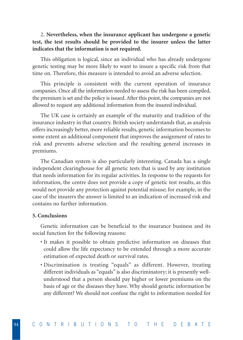# 2. **Nevertheless, when the insurance applicant has undergone a genetic test, the test results should be provided to the insurer unless the latter indicates that the information is not required.**

This obligation is logical, since an individual who has already undergone genetic testing may be more likely to want to insure a specific risk from that time on. Therefore, this measure is intended to avoid an adverse selection.

This principle is consistent with the current operation of insurance companies. Once all the information needed to assess the risk has been compiled, the premium is set and the policy is issued. After this point, the companies are not allowed to request any additional information from the insured individual.

The UK case is certainly an example of the maturity and tradition of the insurance industry in that country. British society understands that, as analysis offers increasingly better, more reliable results, genetic information becomes to some extent an additional component that improves the assignment of rates to risk and prevents adverse selection and the resulting general increases in premiums.

The Canadian system is also particularly interesting. Canada has a single independent clearinghouse for all genetic tests that is used by any institution that needs information for its regular activities. In response to the requests for information, the centre does not provide a copy of genetic test results, as this would not provide any protection against potential misuse; for example, in the case of the insurers the answer is limited to an indication of increased risk and contains no further information.

## **5. Conclusions**

Genetic information can be beneficial to the insurance business and its social function for the following reasons:

- It makes it possible to obtain predictive information on diseases that could allow the life expectancy to be extended through a more accurate estimation of expected death or survival rates.
- Discrimination is treating "equals" as different. However, treating different individuals as "equals" is also discriminatory; it is presently wellunderstood that a person should pay higher or lower premiums on the basis of age or the diseases they have. Why should genetic information be any different? We should not confuse the right to information needed for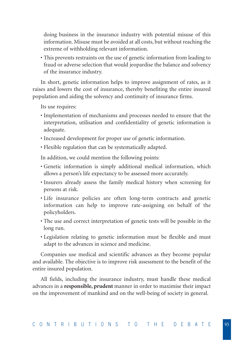doing business in the insurance industry with potential misuse of this information. Misuse must be avoided at all costs, but without reaching the extreme of withholding relevant information.

• This prevents restraints on the use of genetic information from leading to fraud or adverse selection that would jeopardise the balance and solvency of the insurance industry.

In short, genetic information helps to improve assignment of rates, as it raises and lowers the cost of insurance, thereby benefiting the entire insured population and aiding the solvency and continuity of insurance firms.

Its use requires:

- Implementation of mechanisms and processes needed to ensure that the interpretation, utilisation and confidentiality of genetic information is adequate.
- Increased development for proper use of genetic information.
- Flexible regulation that can be systematically adapted.

In addition, we could mention the following points:

- Genetic information is simply additional medical information, which allows a person's life expectancy to be assessed more accurately.
- Insurers already assess the family medical history when screening for persons at risk.
- Life insurance policies are often long-term contracts and genetic information can help to improve rate-assigning on behalf of the policyholders.
- The use and correct interpretation of genetic tests will be possible in the long run.
- Legislation relating to genetic information must be flexible and must adapt to the advances in science and medicine.

Companies use medical and scientific advances as they become popular and available. The objective is to improve risk assessment to the benefit of the entire insured population.

All fields, including the insurance industry, must handle these medical advances in a **responsible, prudent** manner in order to maximise their impact on the improvement of mankind and on the well-being of society in general.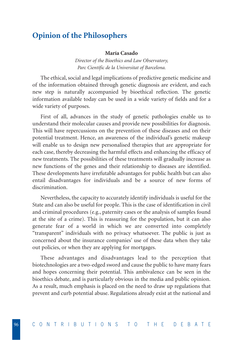# **Opinion of the Philosophers**

### **María Casado**

*Director of the Bioethics and Law Observatory, Parc Científic de la Universitat of Barcelona.*

The ethical, social and legal implications of predictive genetic medicine and of the information obtained through genetic diagnosis are evident, and each new step is naturally accompanied by bioethical reflection. The genetic information available today can be used in a wide variety of fields and for a wide variety of purposes.

First of all, advances in the study of genetic pathologies enable us to understand their molecular causes and provide new possibilities for diagnosis. This will have repercussions on the prevention of these diseases and on their potential treatment. Hence, an awareness of the individual's genetic makeup will enable us to design new personalised therapies that are appropriate for each case, thereby decreasing the harmful effects and enhancing the efficacy of new treatments. The possibilities of these treatments will gradually increase as new functions of the genes and their relationship to diseases are identified. These developments have irrefutable advantages for public health but can also entail disadvantages for individuals and be a source of new forms of discrimination.

Nevertheless, the capacity to accurately identify individuals is useful for the State and can also be useful for people. This is the case of identification in civil and criminal procedures (e.g., paternity cases or the analysis of samples found at the site of a crime). This is reassuring for the population, but it can also generate fear of a world in which we are converted into completely "transparent" individuals with no privacy whatsoever. The public is just as concerned about the insurance companies' use of these data when they take out policies, or when they are applying for mortgages.

These advantages and disadvantages lead to the perception that biotechnologies are a two-edged sword and cause the public to have many fears and hopes concerning their potential. This ambivalence can be seen in the bioethics debate, and is particularly obvious in the media and public opinion. As a result, much emphasis is placed on the need to draw up regulations that prevent and curb potential abuse. Regulations already exist at the national and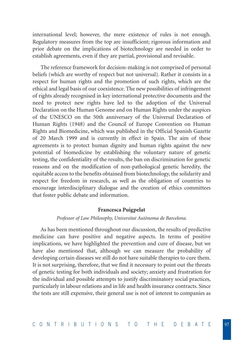international level; however, the mere existence of rules is not enough. Regulatory measures from the top are insufficient; rigorous information and prior debate on the implications of biotechnology are needed in order to establish agreements, even if they are partial, provisional and revisable.

The reference framework for decision-making is not comprised of personal beliefs (which are worthy of respect but not universal). Rather it consists in a respect for human rights and the promotion of such rights, which are the ethical and legal basis of our coexistence. The new possibilities of infringement of rights already recognised in key international protective documents and the need to protect new rights have led to the adoption of the Universal Declaration on the Human Genome and on Human Rights under the auspices of the UNESCO on the 50th anniversary of the Universal Declaration of Human Rights (1948) and the Council of Europe Convention on Human Rights and Biomedicine, which was published in the Official Spanish Gazette of 20 March 1999 and is currently in effect in Spain. The aim of these agreements is to protect human dignity and human rights against the new potential of biomedicine by establishing the voluntary nature of genetic testing, the confidentiality of the results, the ban on discrimination for genetic reasons and on the modification of non-pathological genetic heredity, the equitable access to the benefits obtained from biotechnology, the solidarity and respect for freedom in research, as well as the obligation of countries to encourage interdisciplinary dialogue and the creation of ethics committees that foster public debate and information.

### **Francesca Puigpelat**

### *Professor of Law Philosophy, Universitat Autònoma de Barcelona.*

As has been mentioned throughout our discussion, the results of predictive medicine can have positive and negative aspects. In terms of positive implications, we have highlighted the prevention and cure of disease, but we have also mentioned that, although we can measure the probability of developing certain diseases we still do not have suitable therapies to cure them. It is not surprising, therefore, that we find it necessary to point out the threats of genetic testing for both individuals and society; anxiety and frustration for the individual and possible attempts to justify discriminatory social practices, particularly in labour relations and in life and health insurance contracts. Since the tests are still expensive, their general use is not of interest to companies as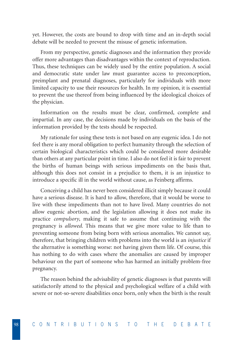yet. However, the costs are bound to drop with time and an in-depth social debate will be needed to prevent the misuse of genetic information.

From my perspective, genetic diagnoses and the information they provide offer more advantages than disadvantages within the context of reproduction. Thus, these techniques can be widely used by the entire population. A social and democratic state under law must guarantee access to preconception, preimplant and prenatal diagnoses, particularly for individuals with more limited capacity to use their resources for health. In my opinion, it is essential to prevent the use thereof from being influenced by the ideological choices of the physician.

Information on the results must be clear, confirmed, complete and impartial. In any case, the decisions made by individuals on the basis of the information provided by the tests should be respected.

My rationale for using these tests is not based on any eugenic idea. I do not feel there is any moral obligation to perfect humanity through the selection of certain biological characteristics which could be considered more desirable than others at any particular point in time. I also do not feel it is fair to prevent the births of human beings with serious impediments on the basis that, although this does not consist in a prejudice to them, it is an injustice to introduce a specific ill in the world without cause, as Feinberg affirms.

Conceiving a child has never been considered illicit simply because it could have a serious disease. It is hard to allow, therefore, that it would be worse to live with these impediments than not to have lived. Many countries do not allow eugenic abortion, and the legislation allowing it does not make its practice *compulsory*, making it safe to assume that continuing with the pregnancy is *allowed*. This means that we give more value to life than to preventing someone from being born with serious anomalies. We cannot say, therefore, that bringing children with problems into the world is an *injustice* if the alternative is something worse: not having given them life. Of course, this has nothing to do with cases where the anomalies are caused by improper behaviour on the part of someone who has harmed an initially problem-free pregnancy.

The reason behind the advisability of genetic diagnoses is that parents will satisfactorily attend to the physical and psychological welfare of a child with severe or not-so-severe disabilities once born, only when the birth is the result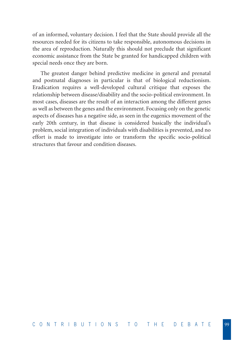of an informed, voluntary decision. I feel that the State should provide all the resources needed for its citizens to take responsible, autonomous decisions in the area of reproduction. Naturally this should not preclude that significant economic assistance from the State be granted for handicapped children with special needs once they are born.

The greatest danger behind predictive medicine in general and prenatal and postnatal diagnoses in particular is that of biological reductionism. Eradication requires a well-developed cultural critique that exposes the relationship between disease/disability and the socio-political environment. In most cases, diseases are the result of an interaction among the different genes as well as between the genes and the environment. Focusing only on the genetic aspects of diseases has a negative side, as seen in the eugenics movement of the early 20th century, in that disease is considered basically the individual's problem, social integration of individuals with disabilities is prevented, and no effort is made to investigate into or transform the specific socio-political structures that favour and condition diseases.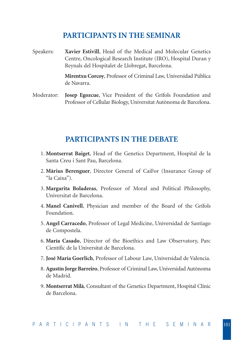# **PARTICIPANTS IN THE SEMINAR**

Speakers: **Xavier Estivill**, Head of the Medical and Molecular Genetics Centre, Oncological Research Institute (IRO), Hospital Duran y Reynals del Hospitalet de Llobregat, Barcelona.

> **Mirentxu Corcoy**, Professor of Criminal Law, Universidad Pública de Navarra.

Moderator: **Josep Egozcue**, Vice President of the Grífols Foundation and Professor of Cellular Biology, Universitat Autònoma de Barcelona.

# **PARTICIPANTS IN THE DEBATE**

- 1. **Montserrat Baiget**, Head of the Genetics Department, Hospital de la Santa Creu i Sant Pau, Barcelona.
- 2. **Màrius Berenguer**, Director General of CaiFor (Insurance Group of "la Caixa").
- 3. **Margarita Boladeras**, Professor of Moral and Political Philosophy, Universitat de Barcelona.
- 4. **Manel Canivell**, Physician and member of the Board of the Grífols Foundation.
- 5. **Angel Carracedo**, Professor of Legal Medicine, Universidad de Santiago de Compostela.
- 6. **María Casado**, Director of the Bioethics and Law Observatory, Parc Científic de la Universitat de Barcelona.
- 7. **José María Goerlich**, Professor of Labour Law, Universidad de Valencia.
- 8. **Agustín Jorge Barreiro**, Professor of Criminal Law, Universidad Autónoma de Madrid.
- 9. **Montserrat Milà**, Consultant of the Genetics Department, Hospital Clínic de Barcelona.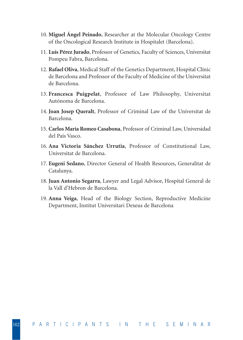- 10. **Miguel Ángel Peinado**, Researcher at the Molecular Oncology Centre of the Oncological Research Institute in Hospitalet (Barcelona).
- 11. **Luís Pérez Jurado**, Professor of Genetics, Faculty of Sciences, Universitat Pompeu Fabra, Barcelona.
- 12. **Rafael Oliva**, Medical Staff of the Genetics Department, Hospital Clínic de Barcelona and Professor of the Faculty of Medicine of the Universitat de Barcelona.
- 13. **Francesca Puigpelat**, Professor of Law Philosophy, Universitat Autónoma de Barcelona.
- 14. **Joan Josep Queralt**, Professor of Criminal Law of the Universitat de Barcelona.
- 15. **Carlos María Romeo Casabona**, Professor of Criminal Law, Universidad del País Vasco.
- 16. **Ana Victoria Sánchez Urrutia**, Professor of Constitutional Law, Universitat de Barcelona.
- 17. **Eugeni Sedano**, Director General of Health Resources, Generalitat de Catalunya.
- 18. **Juan Antonio Segarra**, Lawyer and Legal Advisor, Hospital General de la Vall d'Hebron de Barcelona.
- 19. **Anna Veiga**, Head of the Biology Section, Reproductive Medicine Department, Institut Universitari Dexeus de Barcelona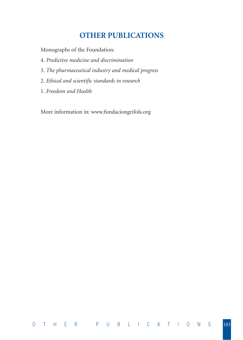# **OTHER PUBLICATIONS**

Monographs of the Foundation:

- 4. *Predictive medicine and discrimination*
- 3. *The pharmaceutical industry and medical progress*
- 2. *Ethical and scientific standards in research*
- 1. *Freedom and Health*

More information in: www.fundaciongrifols.org